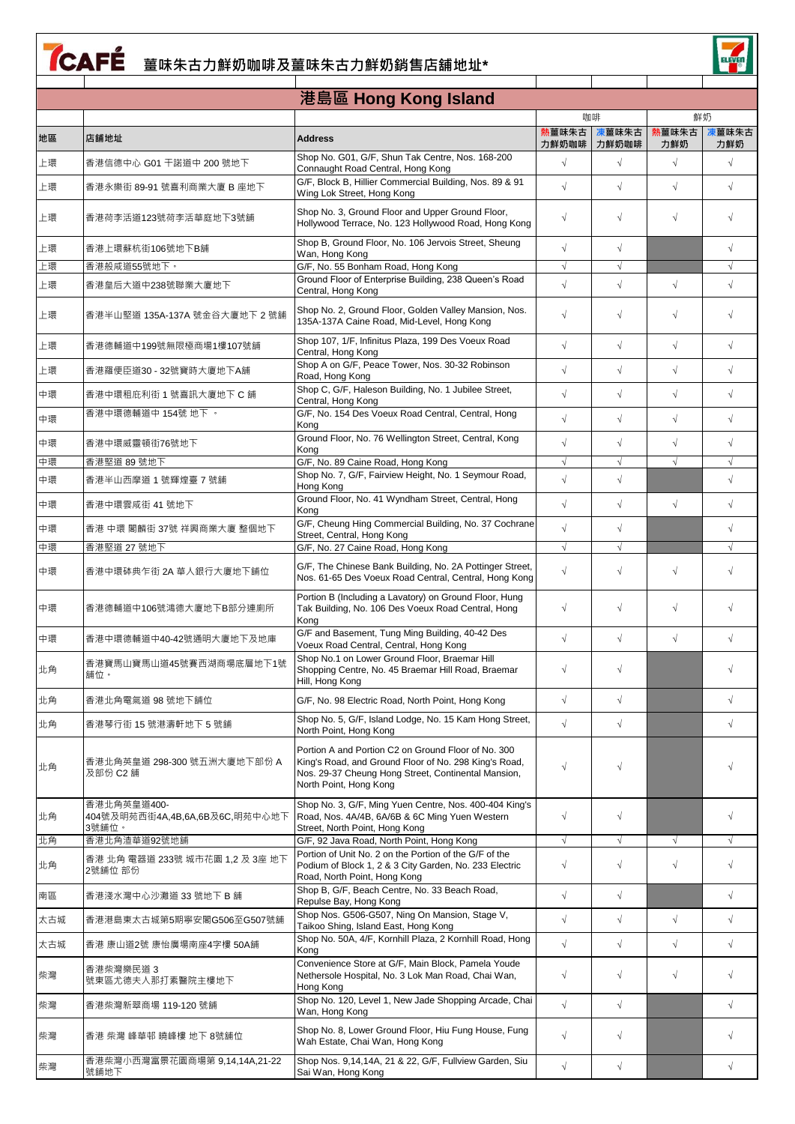## **TCAFÉ** 薑味朱古力鮮奶咖啡及薑味朱古力鮮奶銷售店舖地址\*

ELEVED

|     |                                                        | 港島區 Hong Kong Island                                                                                                                                                                          |                |                |              |              |
|-----|--------------------------------------------------------|-----------------------------------------------------------------------------------------------------------------------------------------------------------------------------------------------|----------------|----------------|--------------|--------------|
|     |                                                        |                                                                                                                                                                                               |                | 咖啡             |              | 鮮奶           |
| 地區  | 店舖地址                                                   | <b>Address</b>                                                                                                                                                                                | 熟薑味朱古<br>力鮮奶咖啡 | 凍薑味朱古<br>力鮮奶咖啡 | 熱薑味朱古<br>力鮮奶 | 凍薑味朱古<br>力鮮奶 |
| 上環  | 香港信德中心 G01 干諾道中 200 號地下                                | Shop No. G01, G/F, Shun Tak Centre, Nos. 168-200<br>Connaught Road Central, Hong Kong                                                                                                         | $\sqrt{}$      | $\sqrt{ }$     | $\sqrt{}$    | $\sqrt{}$    |
| 上環  | 香港永樂街 89-91 號喜利商業大廈 B 座地下                              | G/F, Block B, Hillier Commercial Building, Nos. 89 & 91<br>Wing Lok Street, Hong Kong                                                                                                         | $\sqrt{}$      | $\sqrt{ }$     | $\sqrt{}$    | $\sqrt{}$    |
| 上環  | 香港荷李活道123號荷李活華庭地下3號舖                                   | Shop No. 3, Ground Floor and Upper Ground Floor,<br>Hollywood Terrace, No. 123 Hollywood Road, Hong Kong                                                                                      | $\sqrt{}$      | $\sqrt{}$      | $\sqrt{}$    |              |
| 上環  | 香港上環蘇杭街106號地下B舗                                        | Shop B, Ground Floor, No. 106 Jervois Street, Sheung<br>Wan, Hong Kong                                                                                                                        | $\sqrt{}$      | $\sqrt{ }$     |              | $\sqrt{}$    |
| 上環  | 香港般咸道55號地下。                                            | G/F, No. 55 Bonham Road, Hong Kong                                                                                                                                                            | $\sqrt{}$      | $\sqrt{}$      |              | $\sqrt{ }$   |
| 上環  | 香港皇后大道中238號聯業大廈地下                                      | Ground Floor of Enterprise Building, 238 Queen's Road<br>Central, Hong Kong                                                                                                                   | $\sqrt{}$      | $\sqrt{ }$     | $\sqrt{}$    | $\sqrt{}$    |
| 上環  | 香港半山堅道 135A-137A 號金谷大廈地下 2 號舖                          | Shop No. 2, Ground Floor, Golden Valley Mansion, Nos.<br>135A-137A Caine Road, Mid-Level, Hong Kong                                                                                           | $\sqrt{2}$     | $\sqrt{}$      | $\sqrt{}$    | $\sqrt{2}$   |
| 上環  | 香港德輔道中199號無限極商場1樓107號舖                                 | Shop 107, 1/F, Infinitus Plaza, 199 Des Voeux Road<br>Central, Hong Kong                                                                                                                      | $\sqrt{2}$     | $\sqrt{}$      | $\sqrt{}$    | $\sqrt{ }$   |
| 上環  | 香港羅便臣道30 - 32號寶時大廈地下A舖                                 | Shop A on G/F, Peace Tower, Nos. 30-32 Robinson<br>Road, Hong Kong                                                                                                                            | $\sqrt{2}$     | $\sqrt{}$      | $\sqrt{}$    | $\sqrt{}$    |
| 中環  | 香港中環租庇利街 1 號喜訊大廈地下 C 舖                                 | Shop C, G/F, Haleson Building, No. 1 Jubilee Street,<br>Central, Hong Kong                                                                                                                    | $\sqrt{}$      | $\sqrt{ }$     | $\sqrt{}$    | $\sqrt{}$    |
| 中環  | 香港中環德輔道中 154號 地下。                                      | G/F, No. 154 Des Voeux Road Central, Central, Hong<br>Kong                                                                                                                                    | $\sqrt{2}$     | $\sqrt{}$      | $\sqrt{}$    | $\sqrt{}$    |
| 中環  | 香港中環威靈頓街76號地下                                          | Ground Floor, No. 76 Wellington Street, Central, Kong<br>Kong                                                                                                                                 | $\sqrt{}$      | $\sqrt{ }$     | $\sqrt{}$    | $\sqrt{ }$   |
| 中環  | 香港堅道 89 號地下                                            | G/F, No. 89 Caine Road, Hong Kong                                                                                                                                                             |                | $\sqrt{}$      |              |              |
| 中環  | 香港半山西摩道 1 號輝煌臺 7 號舖                                    | Shop No. 7, G/F, Fairview Height, No. 1 Seymour Road,<br>Hong Kong                                                                                                                            | $\sqrt{}$      | $\sqrt{ }$     |              | $\sqrt{}$    |
| 中環  | 香港中環雲咸街 41 號地下                                         | Ground Floor, No. 41 Wyndham Street, Central, Hong<br>Kong                                                                                                                                    | $\sqrt{ }$     | $\sqrt{ }$     | $\sqrt{}$    | $\sqrt{ }$   |
| 中環  | 香港 中環 閣麟街 37號 祥興商業大廈 整個地下                              | G/F, Cheung Hing Commercial Building, No. 37 Cochrane<br>Street, Central, Hong Kong                                                                                                           | $\sqrt{ }$     | $\sqrt{}$      |              | $\sqrt{}$    |
| 中環  | 香港堅道 27 號地下                                            | G/F, No. 27 Caine Road, Hong Kong                                                                                                                                                             | $\sqrt{}$      | $\sqrt{ }$     |              | $\sqrt{}$    |
| 中環  | 香港中環砵典乍街 2A 華人銀行大廈地下舖位                                 | G/F, The Chinese Bank Building, No. 2A Pottinger Street,<br>Nos. 61-65 Des Voeux Road Central, Central, Hong Kong                                                                             | $\sqrt{}$      | $\sqrt{}$      | $\sqrt{}$    | $\sqrt{2}$   |
| 中環  | 香港德輔道中106號鴻德大廈地下B部分連廁所                                 | Portion B (Including a Lavatory) on Ground Floor, Hung<br>Tak Building, No. 106 Des Voeux Road Central, Hong<br>Kong                                                                          | $\sqrt{}$      | $\sqrt{}$      | $\sqrt{}$    | $\sqrt{ }$   |
| 中環  | 香港中環德輔道中40-42號通明大廈地下及地庫                                | G/F and Basement, Tung Ming Building, 40-42 Des<br>Voeux Road Central, Central, Hong Kong                                                                                                     | $\sqrt{}$      | $\sqrt{ }$     | $\sqrt{}$    | $\sqrt{}$    |
| 北角  | 香港寶馬山寶馬山道45號賽西湖商場底層地下1號<br>舖位。                         | Shop No.1 on Lower Ground Floor, Braemar Hill<br>Shopping Centre, No. 45 Braemar Hill Road, Braemar<br>Hill, Hong Kong                                                                        | $\sqrt{}$      | $\sqrt{}$      |              |              |
| 北角  | 香港北角電氣道 98 號地下舖位                                       | G/F, No. 98 Electric Road, North Point, Hong Kong                                                                                                                                             | $\sqrt{}$      | $\sqrt{}$      |              | $\sqrt{}$    |
| 北角  | 香港琴行街 15 號港濤軒地下 5 號舖                                   | Shop No. 5, G/F, Island Lodge, No. 15 Kam Hong Street,<br>North Point, Hong Kong                                                                                                              | $\sqrt{2}$     | $\sqrt{ }$     |              | $\sqrt{}$    |
| 北角  | 香港北角英皇道 298-300 號五洲大廈地下部份 A<br>及部份 C2 舖                | Portion A and Portion C2 on Ground Floor of No. 300<br>King's Road, and Ground Floor of No. 298 King's Road,<br>Nos. 29-37 Cheung Hong Street, Continental Mansion,<br>North Point, Hong Kong | $\sqrt{}$      | $\sqrt{}$      |              |              |
| 北角  | 香港北角英皇道400-<br>404號及明苑西街4A,4B,6A,6B及6C,明苑中心地下<br>3號舖位。 | Shop No. 3, G/F, Ming Yuen Centre, Nos. 400-404 King's<br>Road, Nos. 4A/4B, 6A/6B & 6C Ming Yuen Western<br>Street, North Point, Hong Kong                                                    | $\sqrt{}$      | $\sqrt{}$      |              | $\sqrt{}$    |
| 北角  | 香港北角渣華道92號地舖                                           | G/F, 92 Java Road, North Point, Hong Kong                                                                                                                                                     | $\sqrt{}$      | $\sqrt{}$      | $\sqrt{}$    | $\sqrt{}$    |
| 北角  | 香港 北角 電器道 233號 城市花園 1.2 及 3座 地下<br>2號舖位 部份             | Portion of Unit No. 2 on the Portion of the G/F of the<br>Podium of Block 1, 2 & 3 City Garden, No. 233 Electric<br>Road, North Point, Hong Kong                                              | $\sqrt{}$      | $\sqrt{}$      | $\sqrt{}$    | $\sqrt{}$    |
| 南區  | 香港淺水灣中心沙灘道 33 號地下 B 舖                                  | Shop B, G/F, Beach Centre, No. 33 Beach Road,<br>Repulse Bay, Hong Kong                                                                                                                       | $\sqrt{}$      | $\sqrt{}$      |              | $\sqrt{}$    |
| 太古城 | 香港港島東太古城第5期寧安閣G506至G507號舖                              | Shop Nos. G506-G507, Ning On Mansion, Stage V,<br>Taikoo Shing, Island East, Hong Kong                                                                                                        | $\sqrt{}$      | $\sqrt{}$      | $\sqrt{}$    | $\sqrt{}$    |
| 太古城 | 香港 康山道2號 康怡廣場南座4字樓 50A舖                                | Shop No. 50A, 4/F, Kornhill Plaza, 2 Kornhill Road, Hong<br>Kong                                                                                                                              | $\sqrt{}$      | $\sqrt{}$      | $\sqrt{}$    | $\sqrt{}$    |
| 柴灣  | 香港柴灣樂民道 3<br>號東區尤德夫人那打素醫院主樓地下                          | Convenience Store at G/F, Main Block, Pamela Youde<br>Nethersole Hospital, No. 3 Lok Man Road, Chai Wan,<br>Hong Kong                                                                         | $\sqrt{}$      | $\sqrt{}$      | $\sqrt{}$    | $\sqrt{}$    |
| 柴灣  | 香港柴灣新翠商場 119-120 號鋪                                    | Shop No. 120, Level 1, New Jade Shopping Arcade, Chai<br>Wan, Hong Kong                                                                                                                       | $\sqrt{}$      | $\sqrt{}$      |              | $\sqrt{ }$   |
| 柴灣  | 香港 柴灣 峰華邨 曉峰樓 地下 8號舖位                                  | Shop No. 8, Lower Ground Floor, Hiu Fung House, Fung<br>Wah Estate, Chai Wan, Hong Kong                                                                                                       | $\sqrt{2}$     | $\sqrt{}$      |              | $\sqrt{}$    |
| 柴灣  | 香港柴灣小西灣富景花園商場第 9,14,14A,21-22<br>號舖地下                  | Shop Nos. 9,14,14A, 21 & 22, G/F, Fullview Garden, Siu<br>Sai Wan, Hong Kong                                                                                                                  | $\sqrt{}$      | $\sqrt{}$      |              | $\sqrt{}$    |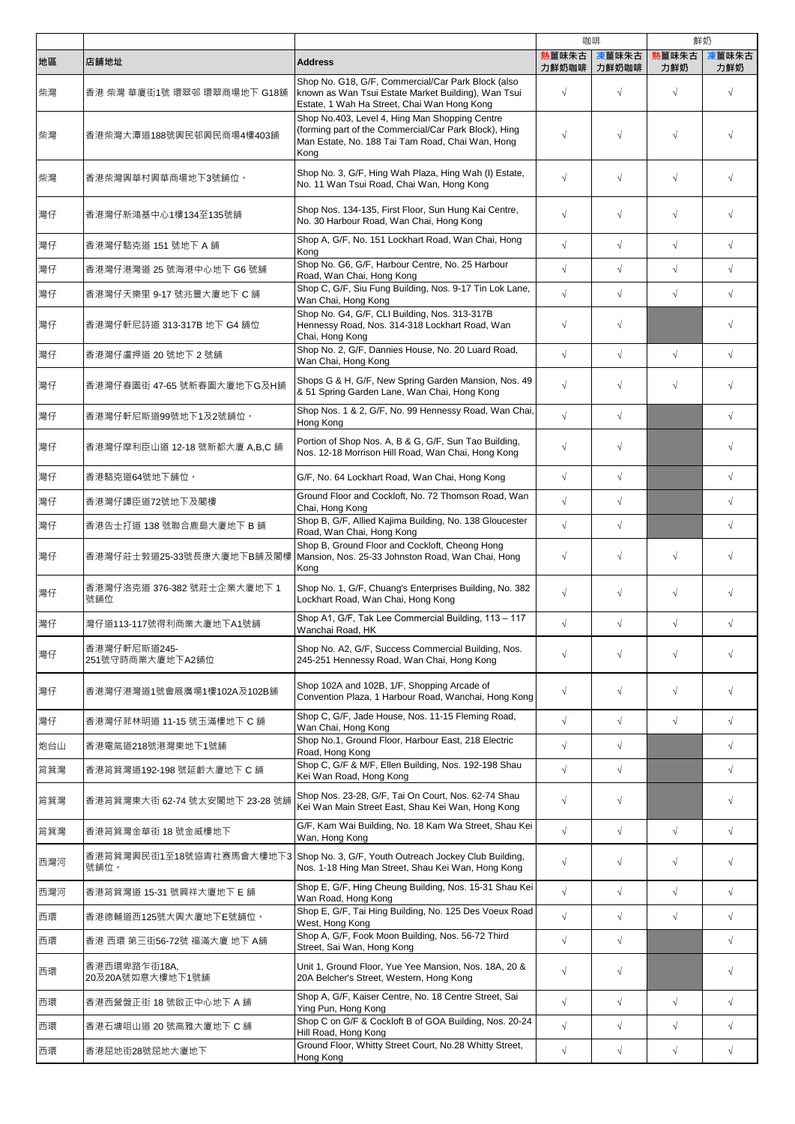|     |                                    |                                                                                                                                                                     |                | 咖啡             | 鮮奶           |              |
|-----|------------------------------------|---------------------------------------------------------------------------------------------------------------------------------------------------------------------|----------------|----------------|--------------|--------------|
| 地區  | 店舖地址                               | <b>Address</b>                                                                                                                                                      | 熟薑味朱古<br>力鮮奶咖啡 | 凍薑味朱古<br>力鮮奶咖啡 | 古未和薑縣<br>力鮮奶 | 凍薑味朱古<br>力鮮奶 |
| 柴灣  | 香港 柴灣 華廈街1號 環翠邨 環翠商場地下 G18舖        | Shop No. G18, G/F, Commercial/Car Park Block (also<br>known as Wan Tsui Estate Market Building), Wan Tsui<br>Estate, 1 Wah Ha Street, Chai Wan Hong Kong            | $\sqrt{ }$     | $\sqrt{}$      | $\sqrt{}$    | $\sqrt{ }$   |
| 柴灣  | 香港柴灣大潭道188號興民邨興民商場4樓403舖           | Shop No.403, Level 4, Hing Man Shopping Centre<br>(forming part of the Commercial/Car Park Block), Hing<br>Man Estate, No. 188 Tai Tam Road, Chai Wan, Hong<br>Kong | $\sqrt{}$      | $\sqrt{}$      | J            |              |
| 柴灣  | 香港柴灣興華村興華商場地下3號舖位。                 | Shop No. 3, G/F, Hing Wah Plaza, Hing Wah (I) Estate,<br>No. 11 Wan Tsui Road, Chai Wan, Hong Kong                                                                  | $\sqrt{}$      | $\sqrt{}$      | $\sqrt{}$    | $\sqrt{}$    |
| 灣仔  | 香港灣仔新鴻基中心1樓134至135號舖               | Shop Nos. 134-135, First Floor, Sun Hung Kai Centre,<br>No. 30 Harbour Road, Wan Chai, Hong Kong                                                                    | $\sqrt{}$      | $\sqrt{}$      | $\sqrt{}$    | $\sqrt{ }$   |
| 灣仔  | 香港灣仔駱克道 151 號地下 A 舖                | Shop A, G/F, No. 151 Lockhart Road, Wan Chai, Hong<br>Kong                                                                                                          | $\sqrt{}$      | $\sqrt{}$      | $\sqrt{}$    | $\sqrt{2}$   |
| 灣仔  | 香港灣仔港灣道 25 號海港中心地下 G6 號舖           | Shop No. G6, G/F, Harbour Centre, No. 25 Harbour<br>Road, Wan Chai, Hong Kong                                                                                       | $\sqrt{ }$     | $\sqrt{}$      | $\sqrt{}$    | $\sqrt{2}$   |
| 灣仔  | 香港灣仔天樂里 9-17 號兆豐大廈地下 C 舖           | Shop C, G/F, Siu Fung Building, Nos. 9-17 Tin Lok Lane,<br>Wan Chai, Hong Kong                                                                                      | $\sqrt{ }$     | $\sqrt{}$      | $\sqrt{}$    | $\sqrt{2}$   |
| 灣仔  | 香港灣仔軒尼詩道 313-317B 地下 G4 舖位         | Shop No. G4, G/F, CLI Building, Nos. 313-317B<br>Hennessy Road, Nos. 314-318 Lockhart Road, Wan<br>Chai, Hong Kong                                                  | $\sqrt{}$      | $\sqrt{}$      |              | $\sqrt{ }$   |
| 灣仔  | 香港灣仔盧押道 20 號地下 2 號舖                | Shop No. 2, G/F, Dannies House, No. 20 Luard Road,<br>Wan Chai. Hong Kong                                                                                           | $\sqrt{ }$     | $\sqrt{2}$     | $\sqrt{}$    | $\sqrt{ }$   |
| 灣仔  | 香港灣仔春園街 47-65 號新春園大廈地下G及H舖         | Shops G & H, G/F, New Spring Garden Mansion, Nos. 49<br>& 51 Spring Garden Lane, Wan Chai, Hong Kong                                                                | $\sqrt{}$      | $\sqrt{}$      | $\sqrt{}$    | $\sqrt{ }$   |
| 灣仔  | 香港灣仔軒尼斯道99號地下1及2號舖位。               | Shop Nos. 1 & 2, G/F, No. 99 Hennessy Road, Wan Chai,<br>Hong Kong                                                                                                  | $\sqrt{ }$     | $\sqrt{}$      |              | $\sqrt{}$    |
| 灣仔  | 香港灣仔摩利臣山道 12-18 號新都大廈 A,B,C 舖      | Portion of Shop Nos. A, B & G, G/F, Sun Tao Building,<br>Nos. 12-18 Morrison Hill Road, Wan Chai, Hong Kong                                                         | $\sqrt{}$      | $\sqrt{}$      |              | $\sqrt{}$    |
| 灣仔  | 香港駱克道64號地下舖位。                      | G/F, No. 64 Lockhart Road, Wan Chai, Hong Kong                                                                                                                      | $\sqrt{}$      | $\sqrt{}$      |              | $\sqrt{ }$   |
| 灣仔  | 香港灣仔譚臣道72號地下及閣樓                    | Ground Floor and Cockloft, No. 72 Thomson Road, Wan<br>Chai, Hong Kong                                                                                              | $\sqrt{ }$     | $\sqrt{}$      |              | $\sqrt{2}$   |
| 灣仔  | 香港告士打道 138 號聯合鹿島大廈地下 B 舖           | Shop B, G/F, Allied Kajima Building, No. 138 Gloucester<br>Road, Wan Chai, Hong Kong                                                                                | $\sqrt{ }$     | $\sqrt{}$      |              | $\sqrt{2}$   |
| 灣仔  | 香港灣仔莊士敦道25-33號長康大廈地下B舖及閣樓          | Shop B, Ground Floor and Cockloft, Cheong Hong<br>Mansion, Nos. 25-33 Johnston Road, Wan Chai, Hong<br>Kong                                                         | $\sqrt{}$      | $\sqrt{}$      | $\sqrt{}$    | $\sqrt{}$    |
| 灣仔  | 香港灣仔洛克道 376-382 號莊士企業大廈地下 1<br>號鋪位 | Shop No. 1, G/F, Chuang's Enterprises Building, No. 382<br>Lockhart Road, Wan Chai, Hong Kong                                                                       | $\sqrt{}$      | $\sqrt{}$      | $\sqrt{}$    | $\sqrt{ }$   |
| 灣仔  | 灣仔道113-117號得利商業大廈地下A1號舖            | Shop A1, G/F, Tak Lee Commercial Building, 113 - 117<br>Wanchai Road, HK                                                                                            | $\sqrt{}$      | $\sqrt{}$      | $\sqrt{}$    | $\sqrt{}$    |
| 灣仔  | 香港灣仔軒尼斯道245-<br>251號守時商業大廈地下A2舖位   | Shop No. A2, G/F, Success Commercial Building, Nos.<br>245-251 Hennessy Road, Wan Chai, Hong Kong                                                                   | $\sqrt{ }$     | $\sqrt{}$      | $\sqrt{}$    | $\sqrt{ }$   |
| 灣仔  | 香港灣仔港灣道1號會展廣場1樓102A及102B舖          | Shop 102A and 102B, 1/F, Shopping Arcade of<br>Convention Plaza, 1 Harbour Road, Wanchai, Hong Kong                                                                 | $\sqrt{}$      | $\sqrt{}$      | $\sqrt{}$    | $\sqrt{ }$   |
| 灣仔  | 香港灣仔菲林明道 11-15 號玉滿樓地下 C 舖          | Shop C, G/F, Jade House, Nos. 11-15 Fleming Road,<br>Wan Chai, Hong Kong                                                                                            | $\sqrt{ }$     | $\sqrt{}$      | $\sqrt{}$    | $\sqrt{ }$   |
| 炮台山 | 香港電氣道218號港灣東地下1號舖                  | Shop No.1. Ground Floor. Harbour East. 218 Electric<br>Road, Hong Kong                                                                                              | $\sqrt{ }$     | $\sqrt{}$      |              | $\sqrt{ }$   |
| 筲箕灣 | 香港筲箕灣道192-198 號延齡大廈地下 C 舖          | Shop C, G/F & M/F, Ellen Building, Nos. 192-198 Shau<br>Kei Wan Road, Hong Kong                                                                                     | $\sqrt{ }$     | $\sqrt{}$      |              | $\sqrt{2}$   |
| 筲箕灣 | 香港筲箕灣東大街 62-74 號太安閣地下 23-28 號舖     | Shop Nos. 23-28, G/F, Tai On Court, Nos. 62-74 Shau<br>Kei Wan Main Street East, Shau Kei Wan, Hong Kong                                                            | $\sqrt{}$      | $\sqrt{}$      |              | $\sqrt{ }$   |
| 筲箕灣 | 香港筲箕灣金華街 18 號金威樓地下                 | G/F, Kam Wai Building, No. 18 Kam Wa Street, Shau Kei<br>Wan, Hong Kong                                                                                             | $\sqrt{}$      | $\sqrt{}$      | $\sqrt{}$    | $\sqrt{ }$   |
| 西灣河 | 香港筲箕灣興民街1至18號協青社赛馬會大樓地下3<br>號舖位。   | Shop No. 3, G/F, Youth Outreach Jockey Club Building,<br>Nos. 1-18 Hing Man Street, Shau Kei Wan, Hong Kong                                                         | $\sqrt{}$      | $\sqrt{}$      | $\sqrt{}$    | $\sqrt{ }$   |
| 西灣河 | 香港筲箕灣道 15-31 號興祥大廈地下 E 舖           | Shop E, G/F, Hing Cheung Building, Nos. 15-31 Shau Kei<br>Wan Road, Hong Kong                                                                                       | $\sqrt{ }$     | $\sqrt{}$      | $\sqrt{}$    | $\sqrt{2}$   |
| 西環  | 香港德輔道西125號大興大廈地下E號舖位。              | Shop E, G/F, Tai Hing Building, No. 125 Des Voeux Road<br>West, Hong Kong                                                                                           | $\sqrt{ }$     | $\sqrt{2}$     | $\sqrt{2}$   | $\sqrt{}$    |
| 西環  | 香港 西環 第三街56-72號 福滿大廈 地下 A舗         | Shop A, G/F, Fook Moon Building, Nos. 56-72 Third<br>Street, Sai Wan, Hong Kong                                                                                     | $\sqrt{ }$     | $\sqrt{}$      |              | $\sqrt{}$    |
| 西環  | 香港西環卑路乍街18A,<br>20及20A號如意大樓地下1號舖   | Unit 1, Ground Floor, Yue Yee Mansion, Nos. 18A, 20 &<br>20A Belcher's Street, Western, Hong Kong                                                                   | $\sqrt{ }$     | $\sqrt{}$      |              | $\sqrt{ }$   |
| 西環  | 香港西營盤正街 18 號啟正中心地下 A 舖             | Shop A, G/F, Kaiser Centre, No. 18 Centre Street, Sai<br>Ying Pun, Hong Kong                                                                                        | $\sqrt{ }$     | $\sqrt{}$      | $\sqrt{}$    | $\sqrt{ }$   |
| 西環  | 香港石塘咀山道 20 號高雅大廈地下 C 舖             | Shop C on G/F & Cockloft B of GOA Building, Nos. 20-24<br>Hill Road, Hong Kong                                                                                      | $\sqrt{ }$     | $\sqrt{ }$     | $\sqrt{}$    | $\sqrt{2}$   |
| 西環  | 香港屈地街28號屈地大廈地下                     | Ground Floor, Whitty Street Court, No.28 Whitty Street,<br>Hong Kong                                                                                                | $\sqrt{}$      | $\sqrt{}$      | $\sqrt{}$    | $\sqrt{ }$   |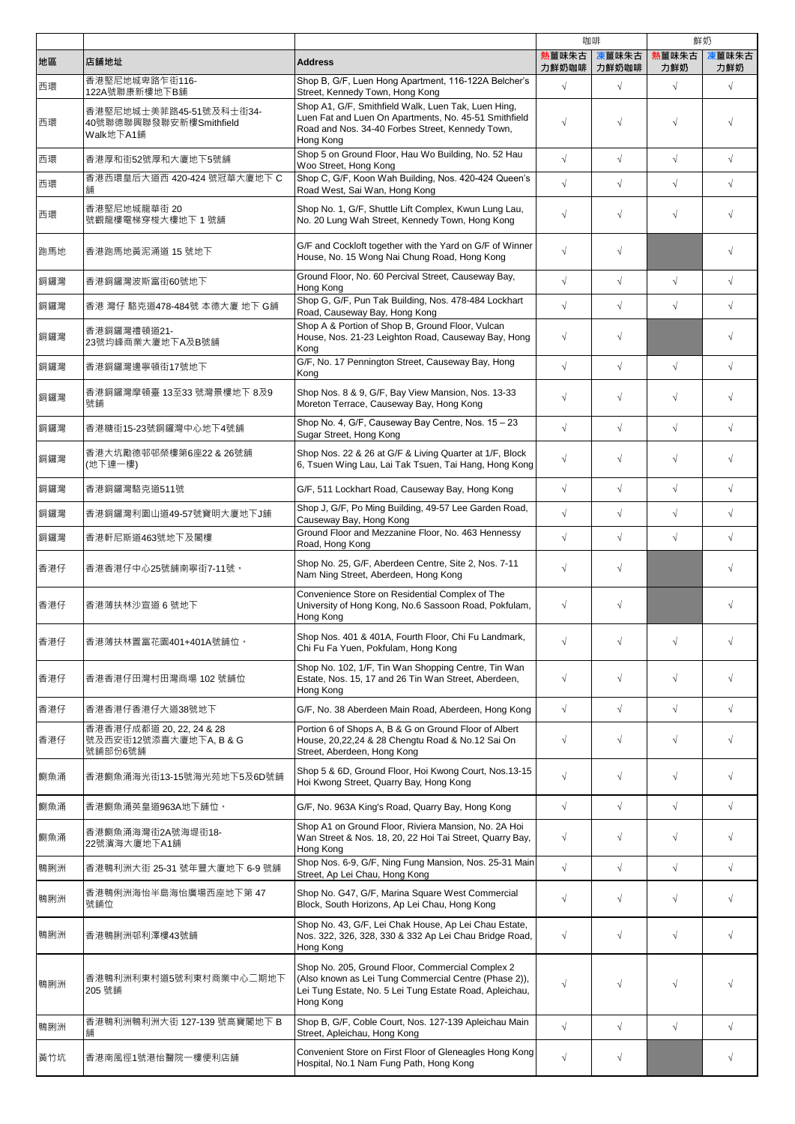|     |                                                                 |                                                                                                                                                                                   |            | 咖啡                   | 鮮奶           |              |
|-----|-----------------------------------------------------------------|-----------------------------------------------------------------------------------------------------------------------------------------------------------------------------------|------------|----------------------|--------------|--------------|
| 地區  | 店舖地址                                                            | <b>Address</b>                                                                                                                                                                    | 熱薑味朱古      | 凍薑味朱古<br>力鮮奶咖啡丨力鮮奶咖啡 | 熟薑味朱古<br>力鮮奶 | 凍薑味朱古<br>力鮮奶 |
| 西環  | 香港堅尼地城卑路乍街116-<br>122A號聯康新樓地下B舗                                 | Shop B, G/F, Luen Hong Apartment, 116-122A Belcher's<br>Street, Kennedy Town, Hong Kong                                                                                           | $\sqrt{ }$ | $\sqrt{}$            | $\sqrt{}$    | $\sqrt{ }$   |
| 西環  | 香港堅尼地城士美菲路45-51號及科士街34-<br>40號聯德聯興聯發聯安新樓Smithfield<br>Walk地下A1舖 | Shop A1, G/F, Smithfield Walk, Luen Tak, Luen Hing,<br>Luen Fat and Luen On Apartments, No. 45-51 Smithfield<br>Road and Nos. 34-40 Forbes Street, Kennedy Town,<br>Hong Kong     | $\sqrt{ }$ | $\sqrt{}$            | $\sqrt{}$    |              |
| 西環  | 香港厚和街52號厚和大廈地下5號舖                                               | Shop 5 on Ground Floor, Hau Wo Building, No. 52 Hau<br>Woo Street, Hong Kong                                                                                                      | $\sqrt{ }$ | $\sqrt{}$            | $\sqrt{}$    | $\sqrt{2}$   |
| 西環  | 香港西環皇后大道西 420-424 號冠華大廈地下 C<br>舖                                | Shop C, G/F, Koon Wah Building, Nos. 420-424 Queen's<br>Road West, Sai Wan, Hong Kong                                                                                             | $\sqrt{ }$ | $\sqrt{}$            | $\sqrt{}$    | $\sqrt{}$    |
| 西環  | 香港堅尼地城龍華街 20<br>號觀龍樓電梯穿梭大樓地下 1 號舖                               | Shop No. 1, G/F, Shuttle Lift Complex, Kwun Lung Lau,<br>No. 20 Lung Wah Street, Kennedy Town, Hong Kong                                                                          | $\sqrt{ }$ | $\sqrt{}$            | $\sqrt{}$    | $\sqrt{ }$   |
| 跑馬地 | 香港跑馬地黃泥涌道 15 號地下                                                | G/F and Cockloft together with the Yard on G/F of Winner<br>House, No. 15 Wong Nai Chung Road, Hong Kong                                                                          | $\sqrt{ }$ | $\sqrt{}$            |              | $\sqrt{ }$   |
| 銅鑼灣 | 香港銅鑼灣波斯富街60號地下                                                  | Ground Floor, No. 60 Percival Street, Causeway Bay,<br>Hong Kong                                                                                                                  | $\sqrt{ }$ | $\sqrt{2}$           | $\sqrt{ }$   | $\sqrt{2}$   |
| 銅鑼灣 | 香港 灣仔 駱克道478-484號 本德大廈 地下 G舗                                    | Shop G, G/F, Pun Tak Building, Nos. 478-484 Lockhart<br>Road, Causeway Bay, Hong Kong                                                                                             | $\sqrt{ }$ | $\sqrt{}$            | $\sqrt{}$    | $\sqrt{2}$   |
| 銅鑼灣 | 香港銅鑼灣禮頓道21-<br>23號均峰商業大廈地下A及B號舖                                 | Shop A & Portion of Shop B, Ground Floor, Vulcan<br>House, Nos. 21-23 Leighton Road, Causeway Bay, Hong<br>Kong                                                                   | $\sqrt{ }$ | $\sqrt{}$            |              | $\sqrt{ }$   |
| 銅鑼灣 | 香港銅鑼灣邊寧頓街17號地下                                                  | G/F, No. 17 Pennington Street, Causeway Bay, Hong<br>Kong                                                                                                                         | $\sqrt{ }$ | $\sqrt{}$            | $\sqrt{}$    | $\sqrt{}$    |
| 銅鑼灣 | 香港銅鑼灣摩頓臺 13至33 號灣景樓地下 8及9<br>號舖                                 | Shop Nos. 8 & 9, G/F, Bay View Mansion, Nos. 13-33<br>Moreton Terrace, Causeway Bay, Hong Kong                                                                                    | $\sqrt{ }$ | $\sqrt{}$            | $\sqrt{}$    | $\sqrt{}$    |
| 銅鑼灣 | 香港糖街15-23號銅鑼灣中心地下4號舖                                            | Shop No. 4, G/F, Causeway Bay Centre, Nos. 15 - 23<br>Sugar Street, Hong Kong                                                                                                     | $\sqrt{ }$ | $\sqrt{}$            | $\sqrt{2}$   | $\sqrt{2}$   |
| 銅鑼灣 | 香港大坑勵德邨邨榮樓第6座22 & 26號舖<br>(地下連一樓)                               | Shop Nos. 22 & 26 at G/F & Living Quarter at 1/F, Block<br>6, Tsuen Wing Lau, Lai Tak Tsuen, Tai Hang, Hong Kong                                                                  | $\sqrt{ }$ | $\sqrt{}$            | $\sqrt{}$    | $\sqrt{}$    |
| 銅鑼灣 | 香港銅鑼灣駱克道511號                                                    | G/F, 511 Lockhart Road, Causeway Bay, Hong Kong                                                                                                                                   | $\sqrt{ }$ | $\sqrt{}$            | $\sqrt{}$    | $\sqrt{ }$   |
| 銅鑼灣 | 香港銅鑼灣利園山道49-57號寶明大廈地下J舖                                         | Shop J, G/F, Po Ming Building, 49-57 Lee Garden Road,<br>Causeway Bay, Hong Kong                                                                                                  | $\sqrt{ }$ | $\sqrt{}$            | $\sqrt{}$    | $\sqrt{ }$   |
| 銅鑼灣 | 香港軒尼斯道463號地下及閣樓                                                 | Ground Floor and Mezzanine Floor, No. 463 Hennessy<br>Road, Hong Kong                                                                                                             | $\sqrt{ }$ | $\sqrt{2}$           | $\sqrt{2}$   | $\sqrt{2}$   |
| 香港仔 | 香港香港仔中心25號舖南寧街7-11號。                                            | Shop No. 25, G/F, Aberdeen Centre, Site 2, Nos. 7-11<br>Nam Ning Street, Aberdeen, Hong Kong                                                                                      | $\sqrt{ }$ | $\sqrt{}$            |              | $\sqrt{ }$   |
| 香港仔 | 香港薄扶林沙宣道 6 號地下                                                  | Convenience Store on Residential Complex of The<br>University of Hong Kong, No.6 Sassoon Road, Pokfulam,<br>Hong Kong                                                             | $\sqrt{ }$ | $\sqrt{}$            |              | $\sqrt{ }$   |
| 香港仔 | 香港薄扶林置富花園401+401A號舖位。                                           | Shop Nos. 401 & 401A, Fourth Floor, Chi Fu Landmark,<br>Chi Fu Fa Yuen, Pokfulam, Hong Kong                                                                                       | $\sqrt{ }$ | $\sqrt{}$            | $\sqrt{}$    | $\sqrt{}$    |
| 香港仔 | 香港香港仔田灣村田灣商場 102 號舖位                                            | Shop No. 102, 1/F, Tin Wan Shopping Centre, Tin Wan<br>Estate, Nos. 15, 17 and 26 Tin Wan Street, Aberdeen,<br>Hong Kong                                                          | $\sqrt{}$  | $\sqrt{}$            | $\sqrt{}$    | $\sqrt{ }$   |
| 香港仔 | 香港香港仔香港仔大道38號地下                                                 | G/F, No. 38 Aberdeen Main Road, Aberdeen, Hong Kong                                                                                                                               | $\sqrt{ }$ | $\sqrt{}$            | $\sqrt{}$    | $\sqrt{ }$   |
| 香港仔 | 香港香港仔成都道 20, 22, 24 & 28<br>號及西安街12號添喜大廈地下A, B & G<br>號舖部份6號舖   | Portion 6 of Shops A, B & G on Ground Floor of Albert<br>House, 20,22,24 & 28 Chengtu Road & No.12 Sai On<br>Street, Aberdeen, Hong Kong                                          | $\sqrt{}$  | $\sqrt{}$            | $\sqrt{}$    | $\sqrt{}$    |
| 鰂魚涌 | 香港鰂魚涌海光街13-15號海光苑地下5及6D號舖                                       | Shop 5 & 6D, Ground Floor, Hoi Kwong Court, Nos.13-15<br>Hoi Kwong Street, Quarry Bay, Hong Kong                                                                                  | $\sqrt{}$  | $\sqrt{}$            | $\sqrt{}$    | $\sqrt{}$    |
| 鰂魚涌 | 香港鰂魚涌英皇道963A地下舖位。                                               | G/F, No. 963A King's Road, Quarry Bay, Hong Kong                                                                                                                                  | $\sqrt{}$  | $\sqrt{}$            | $\sqrt{}$    | $\sqrt{}$    |
| 鰂魚涌 | 香港鰂魚涌海灣街2A號海堤街18-<br>22號濱海大廈地下A1舖                               | Shop A1 on Ground Floor, Riviera Mansion, No. 2A Hoi<br>Wan Street & Nos. 18, 20, 22 Hoi Tai Street, Quarry Bay,<br>Hong Kong                                                     | $\sqrt{}$  | $\sqrt{}$            | $\sqrt{}$    | $\sqrt{ }$   |
| 鴨脷洲 | 香港鴨利洲大街 25-31 號年豐大廈地下 6-9 號舖                                    | Shop Nos. 6-9, G/F, Ning Fung Mansion, Nos. 25-31 Main<br>Street, Ap Lei Chau, Hong Kong                                                                                          | $\sqrt{ }$ | $\sqrt{}$            | $\sqrt{}$    | $\sqrt{}$    |
| 鴨脷洲 | 香港鴨俐洲海怡半島海怡廣場西座地下第 47<br>號舖位                                    | Shop No. G47, G/F, Marina Square West Commercial<br>Block, South Horizons, Ap Lei Chau, Hong Kong                                                                                 | $\sqrt{}$  | $\sqrt{}$            | $\sqrt{}$    | $\sqrt{ }$   |
| 鴨脷洲 | 香港鴨脷洲邨利澤樓43號舖                                                   | Shop No. 43, G/F, Lei Chak House, Ap Lei Chau Estate,<br>Nos. 322, 326, 328, 330 & 332 Ap Lei Chau Bridge Road,<br>Hong Kong                                                      | $\sqrt{}$  | $\sqrt{}$            | $\sqrt{}$    | $\sqrt{}$    |
| 鴨脷洲 | 香港鴨利洲利東村道5號利東村商業中心二期地下<br>205 號鋪                                | Shop No. 205, Ground Floor, Commercial Complex 2<br>(Also known as Lei Tung Commercial Centre (Phase 2)),<br>Lei Tung Estate, No. 5 Lei Tung Estate Road, Apleichau,<br>Hong Kong | $\sqrt{}$  | $\sqrt{}$            | $\sqrt{}$    |              |
| 鴨脷洲 | 香港鴨利洲鴨利洲大街 127-139 號高寶閣地下 B<br>舖                                | Shop B, G/F, Coble Court, Nos. 127-139 Apleichau Main<br>Street, Apleichau, Hong Kong                                                                                             | $\sqrt{ }$ | $\sqrt{}$            | $\sqrt{}$    | $\sqrt{2}$   |
| 黃竹坑 | 香港南風徑1號港怡醫院一樓便利店舖                                               | Convenient Store on First Floor of Gleneagles Hong Kong<br>Hospital, No.1 Nam Fung Path, Hong Kong                                                                                | $\sqrt{}$  | $\sqrt{}$            |              | $\sqrt{}$    |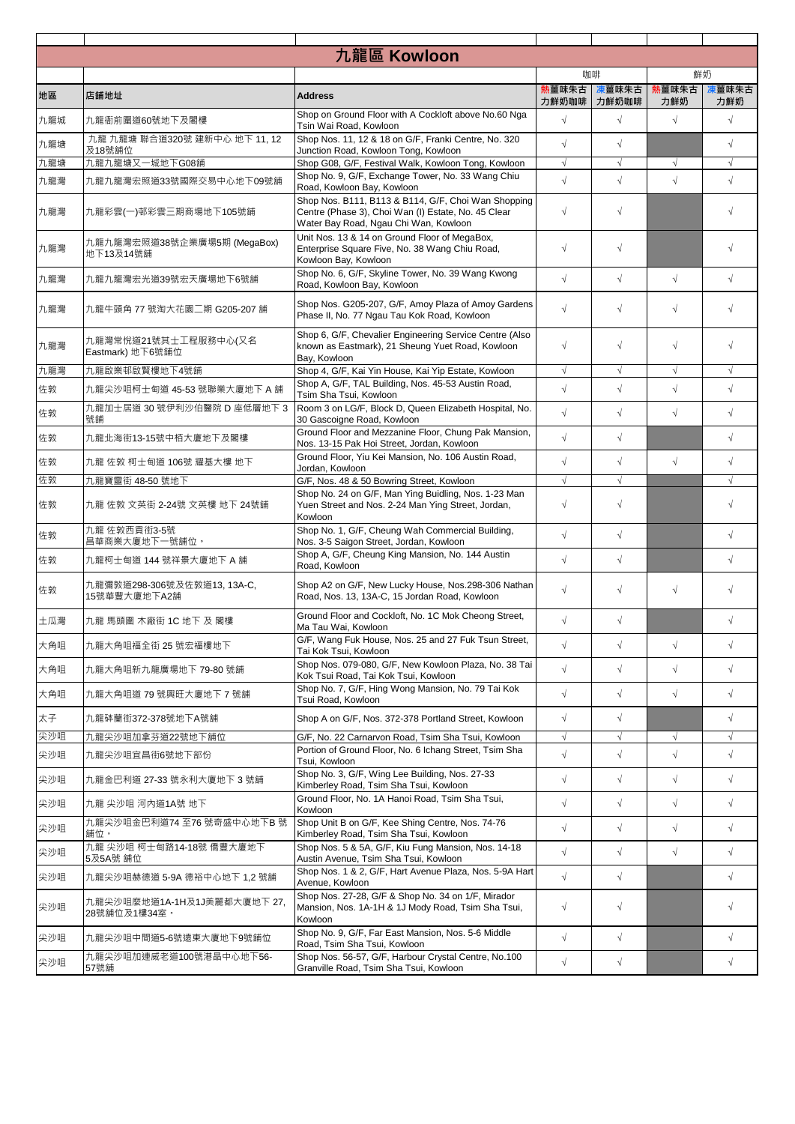|     |                                             | 九龍區 Kowloon                                                                                                                                         |                |                |              |              |
|-----|---------------------------------------------|-----------------------------------------------------------------------------------------------------------------------------------------------------|----------------|----------------|--------------|--------------|
|     |                                             |                                                                                                                                                     | 咖啡             |                |              | 鮮奶           |
| 地區  | 店舗地址                                        | <b>Address</b>                                                                                                                                      | 熱薑味朱古<br>力鮮奶咖啡 | 凍薑味朱古<br>力鮮奶咖啡 | 熱薑味朱古<br>力鮮奶 | 凍薑味朱古<br>力鮮奶 |
| 九龍城 | 九龍衙前圍道60號地下及閣樓                              | Shop on Ground Floor with A Cockloft above No.60 Nga<br>Tsin Wai Road, Kowloon                                                                      | $\sqrt{ }$     | $\sqrt{ }$     | $\sqrt{}$    | $\sqrt{2}$   |
| 九龍塘 | 九龍九龍塘聯合道320號建新中心地下11,12<br>及18號舖位           | Shop Nos. 11, 12 & 18 on G/F, Franki Centre, No. 320<br>Junction Road, Kowloon Tong, Kowloon                                                        | $\sqrt{ }$     | $\sqrt{ }$     |              | $\sqrt{}$    |
| 九龍塘 | 九龍九龍塘又一城地下G08舖                              | Shop G08, G/F, Festival Walk, Kowloon Tong, Kowloon                                                                                                 | $\sqrt{ }$     | $\sqrt{}$      | $\sqrt{}$    | $\sqrt{ }$   |
| 九龍灣 | 九龍九龍灣宏照道33號國際交易中心地下09號舖                     | Shop No. 9, G/F, Exchange Tower, No. 33 Wang Chiu<br>Road, Kowloon Bay, Kowloon                                                                     | $\sqrt{ }$     | $\sqrt{}$      | $\sqrt{}$    | $\sqrt{ }$   |
| 九龍灣 | 九龍彩雲(一)邨彩雲三期商場地下105號鋪                       | Shop Nos. B111, B113 & B114, G/F, Choi Wan Shopping<br>Centre (Phase 3), Choi Wan (I) Estate, No. 45 Clear<br>Water Bay Road, Ngau Chi Wan, Kowloon | $\sqrt{ }$     | $\sqrt{}$      |              | $\sqrt{}$    |
| 九龍灣 | 九龍九龍灣宏照道38號企業廣場5期 (MegaBox)<br>地下13及14號舖    | Unit Nos. 13 & 14 on Ground Floor of MegaBox,<br>Enterprise Square Five, No. 38 Wang Chiu Road,<br>Kowloon Bay, Kowloon                             | $\sqrt{ }$     | $\sqrt{}$      |              | $\sqrt{ }$   |
| 九龍灣 | 九龍九龍灣宏光道39號宏天廣場地下6號舖                        | Shop No. 6, G/F, Skyline Tower, No. 39 Wang Kwong<br>Road, Kowloon Bay, Kowloon                                                                     | $\sqrt{ }$     | $\sqrt{ }$     | $\sqrt{ }$   | $\sqrt{2}$   |
| 九龍灣 | 九龍牛頭角 77 號淘大花園二期 G205-207 舗                 | Shop Nos. G205-207, G/F, Amoy Plaza of Amoy Gardens<br>Phase II. No. 77 Ngau Tau Kok Road, Kowloon                                                  | $\sqrt{ }$     | $\sqrt{}$      | $\sqrt{ }$   | $\sqrt{ }$   |
| 九龍灣 | 九龍灣常悅道21號其士工程服務中心(又名<br>Eastmark) 地下6號舗位    | Shop 6, G/F, Chevalier Engineering Service Centre (Also<br>known as Eastmark), 21 Sheung Yuet Road, Kowloon<br>Bay, Kowloon                         | $\sqrt{ }$     | $\sqrt{ }$     | $\sqrt{ }$   | $\sqrt{2}$   |
| 九龍灣 | 九龍啟業邨啟賢樓地下4號舖                               | Shop 4, G/F, Kai Yin House, Kai Yip Estate, Kowloon                                                                                                 | $\sqrt{ }$     | $\sqrt{ }$     | $\sqrt{ }$   | $\sqrt{ }$   |
| 佐敦  | 九龍尖沙咀柯士甸道 45-53 號聯業大廈地下 A 舖                 | Shop A, G/F, TAL Building, Nos. 45-53 Austin Road,<br>Tsim Sha Tsui, Kowloon                                                                        | $\sqrt{ }$     | $\sqrt{}$      | $\sqrt{}$    | $\sqrt{}$    |
| 佐敦  | 九龍加士居道 30 號伊利沙伯醫院 D 座低層地下 3<br>號鋪           | Room 3 on LG/F, Block D, Queen Elizabeth Hospital, No.<br>30 Gascoigne Road, Kowloon                                                                | $\sqrt{ }$     | $\sqrt{}$      | $\sqrt{}$    | $\sqrt{2}$   |
| 佐敦  | 九龍北海街13-15號中栢大廈地下及閣樓                        | Ground Floor and Mezzanine Floor, Chung Pak Mansion,<br>Nos. 13-15 Pak Hoi Street, Jordan, Kowloon                                                  | $\sqrt{ }$     | $\sqrt{}$      |              | $\sqrt{2}$   |
| 佐敦  | 九龍 佐敦 柯士甸道 106號 耀基大樓 地下                     | Ground Floor, Yiu Kei Mansion, No. 106 Austin Road,<br>Jordan, Kowloon                                                                              | $\sqrt{ }$     | $\sqrt{}$      | $\sqrt{}$    | $\sqrt{}$    |
| 佐敦  | 九龍寶靈街 48-50 號地下                             | G/F, Nos. 48 & 50 Bowring Street, Kowloon                                                                                                           | $\sqrt{ }$     | $\sqrt{ }$     |              |              |
| 佐敦  | 九龍 佐敦 文英街 2-24號 文英樓 地下 24號舖                 | Shop No. 24 on G/F, Man Ying Buidling, Nos. 1-23 Man<br>Yuen Street and Nos. 2-24 Man Ying Street, Jordan,<br>Kowloon                               | $\sqrt{ }$     | $\sqrt{}$      |              | $\sqrt{ }$   |
| 佐敦  | 九龍 佐敦西貢街3-5號<br>昌華商業大廈地下一號舖位。               | Shop No. 1, G/F, Cheung Wah Commercial Building,<br>Nos. 3-5 Saigon Street, Jordan, Kowloon                                                         | $\sqrt{ }$     | $\sqrt{}$      |              | $\sqrt{2}$   |
| 佐敦  | 九龍柯士甸道 144 號祥景大廈地下 A 舖                      | Shop A, G/F, Cheung King Mansion, No. 144 Austin<br>Road, Kowloon                                                                                   | $\sqrt{ }$     | $\sqrt{}$      |              | $\sqrt{}$    |
| 佐敦  | 九龍彌敦道298-306號及佐敦道13, 13A-C,<br>15號華豐大廈地下A2舖 | Shop A2 on G/F, New Lucky House, Nos.298-306 Nathan<br>Road, Nos. 13, 13A-C, 15 Jordan Road, Kowloon                                                | $\sqrt{ }$     | $\sqrt{ }$     | $\sqrt{ }$   | $\sqrt{ }$   |
| 土瓜灣 | 九龍 馬頭圍 木廠街 1C 地下 及 閣樓                       | Ground Floor and Cockloft, No. 1C Mok Cheong Street,<br>Ma Tau Wai. Kowloon                                                                         | $\sqrt{ }$     | $\sqrt{}$      |              | $\sqrt{}$    |
| 大角咀 | 九龍大角咀福全街 25 號宏福樓地下                          | G/F, Wang Fuk House, Nos. 25 and 27 Fuk Tsun Street,<br>Tai Kok Tsui, Kowloon                                                                       | $\sqrt{ }$     | $\sqrt{}$      | $\sqrt{}$    | $\sqrt{}$    |
| 大角咀 | 九龍大角咀新九龍廣場地下 79-80 號舖                       | Shop Nos. 079-080, G/F, New Kowloon Plaza, No. 38 Tai<br>Kok Tsui Road, Tai Kok Tsui, Kowloon                                                       | $\sqrt{ }$     | $\sqrt{}$      | $\sqrt{}$    | $\sqrt{ }$   |
| 大角咀 | 九龍大角咀道 79 號興旺大廈地下 7 號舖                      | Shop No. 7, G/F, Hing Wong Mansion, No. 79 Tai Kok<br>Tsui Road. Kowloon                                                                            | $\sqrt{ }$     | $\sqrt{}$      | $\sqrt{}$    | $\sqrt{2}$   |
| 太子  | 九龍砵蘭街372-378號地下A號舖                          | Shop A on G/F, Nos. 372-378 Portland Street, Kowloon                                                                                                | $\sqrt{ }$     | $\sqrt{}$      |              | $\sqrt{2}$   |
| 尖沙咀 | 九龍尖沙咀加拿芬道22號地下舖位                            | G/F, No. 22 Carnarvon Road, Tsim Sha Tsui, Kowloon                                                                                                  | $\sqrt{}$      | $\sqrt{}$      | $\sqrt{}$    | $\sqrt{}$    |
| 尖沙咀 | 九龍尖沙咀宜昌街6號地下部份                              | Portion of Ground Floor, No. 6 Ichang Street, Tsim Sha<br>Tsui, Kowloon                                                                             | $\sqrt{ }$     | $\sqrt{}$      | $\sqrt{}$    | $\sqrt{2}$   |
| 尖沙咀 | 九龍金巴利道 27-33 號永利大廈地下 3 號舖                   | Shop No. 3, G/F, Wing Lee Building, Nos. 27-33<br>Kimberley Road, Tsim Sha Tsui, Kowloon                                                            | $\sqrt{ }$     | $\sqrt{}$      | $\sqrt{}$    | $\sqrt{2}$   |
| 尖沙咀 | 九龍 尖沙咀 河内道1A號 地下                            | Ground Floor, No. 1A Hanoi Road, Tsim Sha Tsui.<br>Kowloon                                                                                          | $\sqrt{ }$     | $\sqrt{}$      | $\sqrt{}$    | $\sqrt{2}$   |
| 尖沙咀 | 九龍尖沙咀金巴利道74 至76 號奇盛中心地下B號<br>舖位。            | Shop Unit B on G/F, Kee Shing Centre, Nos. 74-76<br>Kimberley Road, Tsim Sha Tsui, Kowloon                                                          | $\sqrt{ }$     | $\sqrt{}$      | $\sqrt{}$    | $\sqrt{2}$   |
| 尖沙咀 | 九龍 尖沙咀 柯士甸路14-18號 僑豐大廈地下<br>5及5A號 舖位        | Shop Nos. 5 & 5A, G/F, Kiu Fung Mansion, Nos. 14-18<br>Austin Avenue, Tsim Sha Tsui, Kowloon                                                        | $\sqrt{ }$     | $\sqrt{}$      | $\sqrt{}$    | $\sqrt{}$    |
| 尖沙咀 | 九龍尖沙咀赫德道 5-9A 德裕中心地下 1,2 號舖                 | Shop Nos. 1 & 2, G/F, Hart Avenue Plaza, Nos. 5-9A Hart<br>Avenue, Kowloon                                                                          | $\sqrt{ }$     | $\sqrt{}$      |              | $\sqrt{}$    |
| 尖沙咀 | 九龍尖沙咀麼地道1A-1H及1J美麗都大廈地下 27,<br>28號舖位及1樓34室。 | Shop Nos. 27-28, G/F & Shop No. 34 on 1/F, Mirador<br>Mansion, Nos. 1A-1H & 1J Mody Road, Tsim Sha Tsui,<br>Kowloon                                 | $\sqrt{}$      | $\sqrt{}$      |              | $\sqrt{ }$   |
| 尖沙咀 | 九龍尖沙咀中間道5-6號遠東大廈地下9號舖位                      | Shop No. 9, G/F, Far East Mansion, Nos. 5-6 Middle<br>Road, Tsim Sha Tsui, Kowloon                                                                  | $\sqrt{ }$     | $\sqrt{}$      |              | $\sqrt{2}$   |
| 尖沙咀 | 九龍尖沙咀加連威老道100號港晶中心地下56-<br>57號舖             | Shop Nos. 56-57, G/F, Harbour Crystal Centre, No.100<br>Granville Road, Tsim Sha Tsui, Kowloon                                                      | $\sqrt{ }$     | $\sqrt{}$      |              | $\sqrt{ }$   |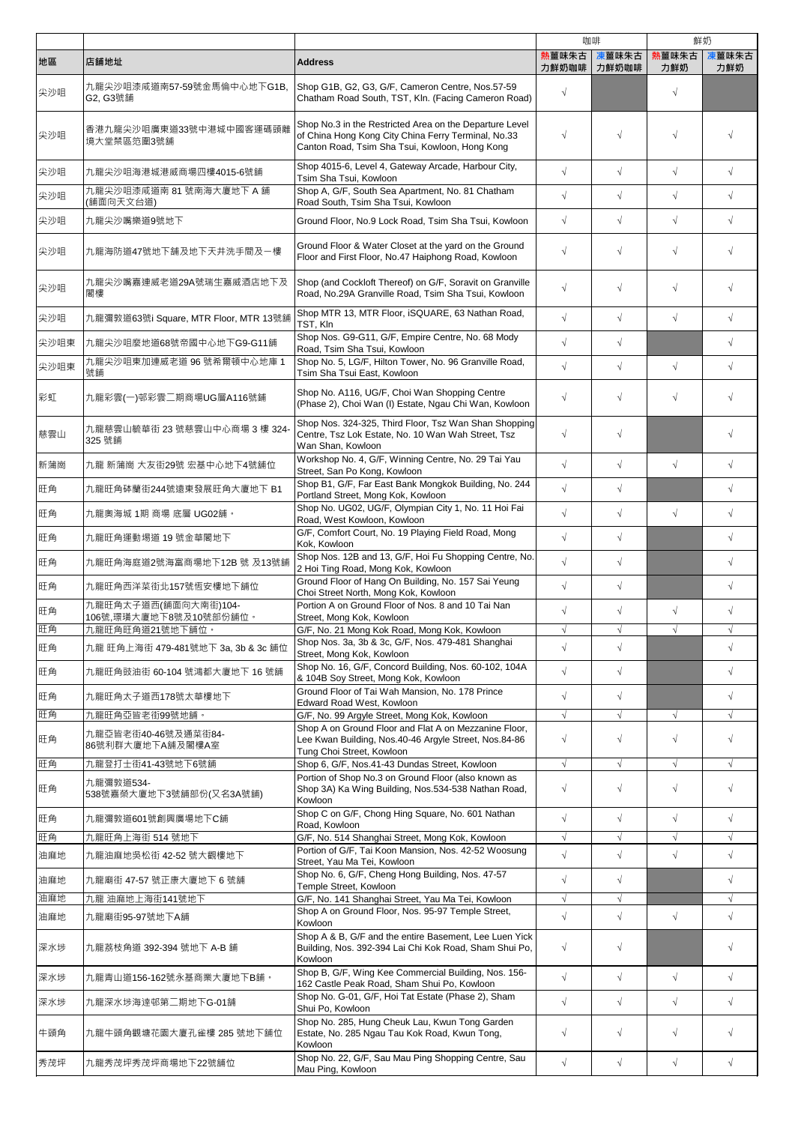|      |                                           |                                                                                                                                                                  |                | 咖啡             |                      | 鮮奶           |
|------|-------------------------------------------|------------------------------------------------------------------------------------------------------------------------------------------------------------------|----------------|----------------|----------------------|--------------|
| 地區   | 店舗地址                                      | <b>Address</b>                                                                                                                                                   | 熟薑味朱古<br>力鮮奶咖啡 | 凍薑味朱古<br>力鮮奶咖啡 | 人王昧若<br>熱薑味朱古<br>力鮮奶 | 凍薑味朱古<br>力鮮奶 |
| 尖沙咀  | 九龍尖沙咀漆咸道南57-59號金馬倫中心地下G1B,<br>G2, G3號舗    | Shop G1B, G2, G3, G/F, Cameron Centre, Nos.57-59<br>Chatham Road South, TST, Kln. (Facing Cameron Road)                                                          | $\sqrt{ }$     |                | $\sqrt{}$            |              |
| 尖沙咀  | 香港九龍尖沙咀廣東道33號中港城中國客運碼頭離<br>境大堂禁區笵圍3號舖     | Shop No.3 in the Restricted Area on the Departure Level<br>of China Hong Kong City China Ferry Terminal, No.33<br>Canton Road, Tsim Sha Tsui, Kowloon, Hong Kong | $\sqrt{ }$     | $\sqrt{ }$     | $\sqrt{}$            |              |
| 尖沙咀  | 九龍尖沙咀海港城港威商場四樓4015-6號舖                    | Shop 4015-6, Level 4, Gateway Arcade, Harbour City,<br>Tsim Sha Tsui, Kowloon                                                                                    | $\sqrt{ }$     | $\sqrt{}$      | $\sqrt{}$            | $\sqrt{2}$   |
| 尖沙咀  | 九龍尖沙咀漆咸道南 81 號南海大廈地下 A 舖<br>(舗面向天文台道)     | Shop A, G/F, South Sea Apartment, No. 81 Chatham<br>Road South, Tsim Sha Tsui, Kowloon                                                                           | $\sqrt{ }$     | $\sqrt{ }$     | $\sqrt{ }$           | $\sqrt{2}$   |
| 尖沙咀  | 九龍尖沙嘴樂道9號地下                               | Ground Floor, No.9 Lock Road, Tsim Sha Tsui, Kowloon                                                                                                             | $\sqrt{ }$     | $\sqrt{}$      | $\sqrt{}$            | $\sqrt{2}$   |
| 尖沙咀  | 九龍海防道47號地下舗及地下天井洗手間及一樓                    | Ground Floor & Water Closet at the yard on the Ground<br>Floor and First Floor, No.47 Haiphong Road, Kowloon                                                     | $\sqrt{ }$     | $\sqrt{}$      | $\sqrt{}$            | $\sqrt{}$    |
| 尖沙咀  | 九龍尖沙嘴嘉連威老道29A號瑞生嘉威酒店地下及<br>閣樓             | Shop (and Cockloft Thereof) on G/F, Soravit on Granville<br>Road, No.29A Granville Road, Tsim Sha Tsui, Kowloon                                                  | $\sqrt{ }$     | $\sqrt{}$      | $\sqrt{}$            | $\sqrt{}$    |
| 尖沙咀  | 九龍彌敦道63號i Square, MTR Floor, MTR 13號舖     | Shop MTR 13, MTR Floor, iSQUARE, 63 Nathan Road,<br>TST, Kln                                                                                                     | $\sqrt{ }$     | $\sqrt{}$      | $\sqrt{}$            | $\sqrt{2}$   |
| 尖沙咀東 | 九龍尖沙咀麼地道68號帝國中心地下G9-G11舖                  | Shop Nos. G9-G11, G/F, Empire Centre, No. 68 Mody<br>Road, Tsim Sha Tsui, Kowloon                                                                                | $\sqrt{ }$     | $\sqrt{}$      |                      | $\sqrt{2}$   |
| 尖沙咀東 | 九龍尖沙咀東加連威老道 96 號希爾頓中心地庫 1                 | Shop No. 5, LG/F, Hilton Tower, No. 96 Granville Road,                                                                                                           | $\sqrt{ }$     | $\sqrt{}$      | $\sqrt{}$            | $\sqrt{}$    |
| 彩虹   | 號鋪<br>九龍彩雲(一)邨彩雲二期商場UG層A116號鋪             | Tsim Sha Tsui East, Kowloon<br>Shop No. A116, UG/F, Choi Wan Shopping Centre<br>(Phase 2), Choi Wan (I) Estate, Ngau Chi Wan, Kowloon                            | $\sqrt{ }$     | $\sqrt{}$      | $\sqrt{}$            | $\sqrt{}$    |
| 慈雲山  | 九龍慈雲山毓華街 23 號慈雲山中心商場 3 樓 324<br>325 號舖    | Shop Nos. 324-325, Third Floor, Tsz Wan Shan Shopping<br>Centre, Tsz Lok Estate, No. 10 Wan Wah Street, Tsz<br>Wan Shan, Kowloon                                 | $\sqrt{ }$     | $\sqrt{}$      |                      | $\sqrt{ }$   |
| 新蒲崗  | 九龍 新蒲崗 大友街29號 宏基中心地下4號舖位                  | Workshop No. 4, G/F, Winning Centre, No. 29 Tai Yau<br>Street, San Po Kong, Kowloon                                                                              | $\sqrt{ }$     | $\sqrt{}$      | $\sqrt{}$            | $\sqrt{}$    |
| 旺角   | 九龍旺角砵蘭街244號遠東發展旺角大廈地下 B1                  | Shop B1, G/F, Far East Bank Mongkok Building, No. 244<br>Portland Street, Mong Kok, Kowloon                                                                      | $\sqrt{ }$     | $\sqrt{}$      |                      | $\sqrt{2}$   |
| 旺角   | 九龍奧海城 1期 商場 底層 UG02舖。                     | Shop No. UG02, UG/F, Olympian City 1, No. 11 Hoi Fai                                                                                                             | $\sqrt{ }$     | $\sqrt{}$      | $\sqrt{}$            | $\sqrt{2}$   |
| 旺角   | 九龍旺角運動場道 19號金華閣地下                         | Road, West Kowloon, Kowloon<br>G/F, Comfort Court, No. 19 Playing Field Road, Mong                                                                               | $\sqrt{ }$     | $\sqrt{}$      |                      | $\sqrt{2}$   |
| 旺角   | 九龍旺角海庭道2號海富商場地下12B 號 及13號舖                | Kok, Kowloon<br>Shop Nos. 12B and 13, G/F, Hoi Fu Shopping Centre, No.                                                                                           | $\sqrt{ }$     | $\sqrt{}$      |                      | $\sqrt{2}$   |
| 旺角   | 九龍旺角西洋菜街北157號恆安樓地下舖位                      | 2 Hoi Ting Road, Mong Kok, Kowloon<br>Ground Floor of Hang On Building, No. 157 Sai Yeung                                                                        | $\sqrt{ }$     | $\sqrt{}$      |                      | $\sqrt{2}$   |
| 旺角   | 九龍旺角太子道西(舗面向大南街)104-                      | Choi Street North, Mong Kok, Kowloon<br>Portion A on Ground Floor of Nos. 8 and 10 Tai Nan                                                                       | $\sqrt{ }$     | $\sqrt{}$      | $\sqrt{}$            | $\sqrt{2}$   |
| 旺角   | 106號,璟璜大廈地下8號及10號部份舖位。<br>九龍旺角旺角道21號地下舖位。 | Street, Mong Kok, Kowloon<br>G/F, No. 21 Mong Kok Road, Mong Kok, Kowloon                                                                                        |                |                |                      |              |
|      |                                           | Shop Nos. 3a, 3b & 3c, G/F, Nos. 479-481 Shanghai                                                                                                                |                |                |                      |              |
| 旺角   | 九龍 旺角上海街 479-481號地下 3a, 3b & 3c 舖位        | Street, Mong Kok, Kowloon<br>Shop No. 16, G/F, Concord Building, Nos. 60-102, 104A                                                                               | $\sqrt{ }$     | $\sqrt{}$      |                      | $\sqrt{}$    |
| 旺角   | 九龍旺角豉油街 60-104 號鴻都大廈地下 16 號舖              | & 104B Soy Street, Mong Kok, Kowloon<br>Ground Floor of Tai Wah Mansion, No. 178 Prince                                                                          | $\sqrt{ }$     | $\sqrt{}$      |                      | $\sqrt{2}$   |
| 旺角   | 九龍旺角太子道西178號太華樓地下                         | Edward Road West, Kowloon                                                                                                                                        | $\sqrt{ }$     | $\sqrt{}$      |                      | $\sqrt{2}$   |
| 旺角   | 九龍旺角亞皆老街99號地舖。                            | G/F, No. 99 Argyle Street, Mong Kok, Kowloon                                                                                                                     | $\sqrt{ }$     | $\sqrt{}$      | $\sqrt{}$            | $\sqrt{}$    |
| 旺角   | 九龍亞皆老街40-46號及通菜街84-<br>86號利群大廈地下A舖及閣樓A室   | Shop A on Ground Floor and Flat A on Mezzanine Floor,<br>Lee Kwan Building, Nos.40-46 Argyle Street, Nos.84-86<br>Tung Choi Street, Kowloon                      | $\sqrt{ }$     | $\sqrt{}$      | $\sqrt{}$            | $\sqrt{}$    |
| 旺角   | 九龍登打士街41-43號地下6號舖                         | Shop 6, G/F, Nos.41-43 Dundas Street, Kowloon                                                                                                                    | $\sqrt{}$      | $\sqrt{}$      | $\sqrt{}$            | $\sqrt{}$    |
| 旺角   | 九龍彌敦道534-<br>538號嘉榮大廈地下3號舖部份(又名3A號舖)      | Portion of Shop No.3 on Ground Floor (also known as<br>Shop 3A) Ka Wing Building, Nos.534-538 Nathan Road,<br>Kowloon                                            | $\sqrt{ }$     | $\sqrt{ }$     | $\sqrt{}$            | $\sqrt{}$    |
| 旺角   | 九龍彌敦道601號創興廣場地下C舖                         | Shop C on G/F, Chong Hing Square, No. 601 Nathan<br>Road, Kowloon                                                                                                | $\sqrt{ }$     | $\sqrt{}$      | $\sqrt{ }$           | $\sqrt{2}$   |
| 旺角   | 九龍旺角上海街 514 號地下                           | G/F, No. 514 Shanghai Street, Mong Kok, Kowloon                                                                                                                  | $\sqrt{ }$     | $\sqrt{ }$     | $\sqrt{ }$           | $\sqrt{}$    |
| 油麻地  | 九龍油麻地吳松街 42-52 號大觀樓地下                     | Portion of G/F, Tai Koon Mansion, Nos. 42-52 Woosung<br>Street, Yau Ma Tei, Kowloon                                                                              | $\sqrt{ }$     | $\sqrt{}$      | $\sqrt{}$            | $\sqrt{2}$   |
| 油麻地  | 九龍廟街 47-57 號正康大廈地下6號舖                     | Shop No. 6, G/F, Cheng Hong Building, Nos. 47-57<br>Temple Street, Kowloon                                                                                       | $\sqrt{ }$     | $\sqrt{}$      |                      | $\sqrt{}$    |
| 油麻地  | 九龍 油麻地上海街141號地下                           | G/F, No. 141 Shanghai Street, Yau Ma Tei, Kowloon                                                                                                                | $\sqrt{ }$     | $\sqrt{}$      |                      | $\sqrt{}$    |
| 油麻地  | 九龍廟街95-97號地下A舗                            | Shop A on Ground Floor, Nos. 95-97 Temple Street,<br>Kowloon                                                                                                     | $\sqrt{ }$     | $\sqrt{ }$     | $\sqrt{}$            | $\sqrt{}$    |
| 深水埗  | 九龍荔枝角道 392-394 號地下 A-B 舖                  | Shop A & B, G/F and the entire Basement, Lee Luen Yick<br>Building, Nos. 392-394 Lai Chi Kok Road, Sham Shui Po,<br>Kowloon                                      | $\sqrt{ }$     | $\sqrt{}$      |                      | $\sqrt{ }$   |
| 深水埗  | 九龍青山道156-162號永基商業大廈地下B舗。                  | Shop B, G/F, Wing Kee Commercial Building, Nos. 156-<br>162 Castle Peak Road, Sham Shui Po, Kowloon                                                              | $\sqrt{ }$     | $\sqrt{ }$     | $\sqrt{}$            | $\sqrt{2}$   |
| 深水埗  | 九龍深水埗海達邨第二期地下G-01舗                        | Shop No. G-01, G/F, Hoi Tat Estate (Phase 2), Sham<br>Shui Po, Kowloon                                                                                           | $\sqrt{ }$     | $\sqrt{ }$     | $\sqrt{}$            | $\sqrt{2}$   |
| 牛頭角  | 九龍牛頭角觀塘花園大廈孔雀樓 285 號地下舖位                  | Shop No. 285, Hung Cheuk Lau, Kwun Tong Garden<br>Estate, No. 285 Ngau Tau Kok Road, Kwun Tong,<br>Kowloon                                                       | $\sqrt{ }$     | $\sqrt{ }$     | $\sqrt{}$            | $\sqrt{}$    |
| 秀茂坪  | 九龍秀茂坪秀茂坪商場地下22號舖位                         | Shop No. 22, G/F, Sau Mau Ping Shopping Centre, Sau<br>Mau Ping, Kowloon                                                                                         | $\sqrt{ }$     | $\sqrt{}$      | $\sqrt{}$            | $\sqrt{ }$   |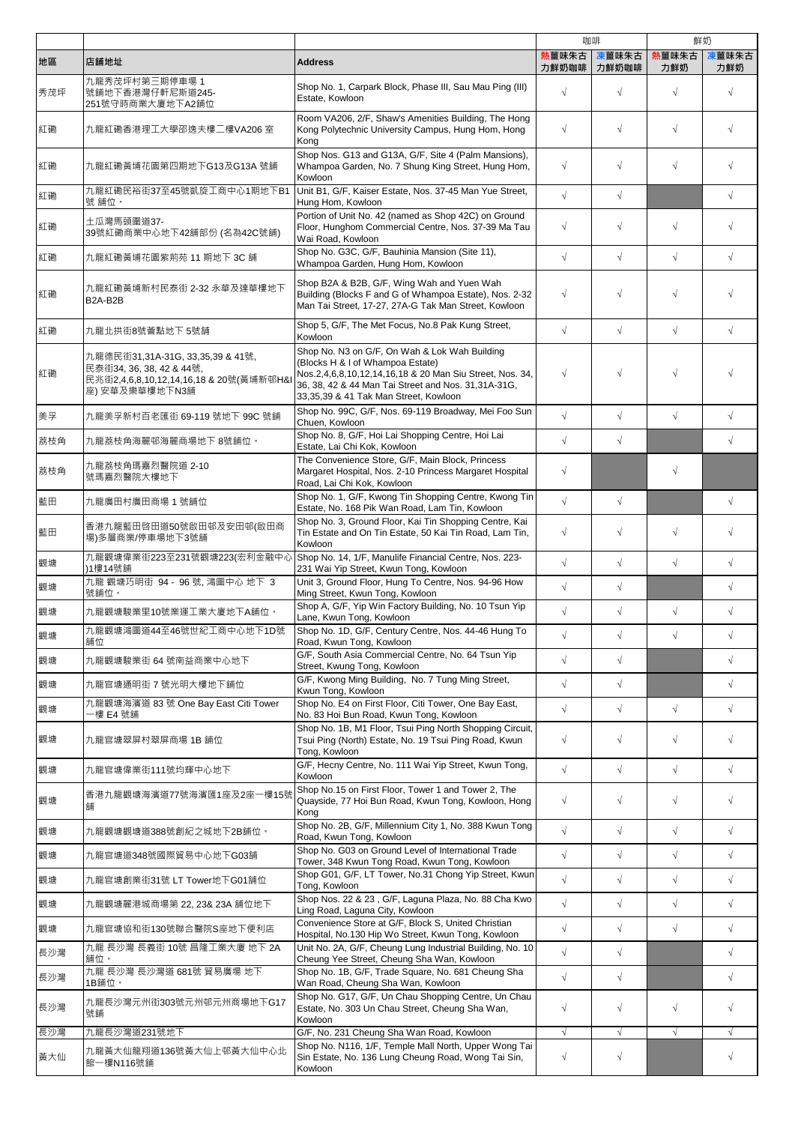|     |                                                                                                                           |                                                                                                                                                                                                                                                |                | 咖啡             |              | 鮮奶           |
|-----|---------------------------------------------------------------------------------------------------------------------------|------------------------------------------------------------------------------------------------------------------------------------------------------------------------------------------------------------------------------------------------|----------------|----------------|--------------|--------------|
| 地區  | 店舗地址                                                                                                                      | <b>Address</b>                                                                                                                                                                                                                                 | 熟薑味朱古<br>力鮮奶咖啡 | 凍薑味朱古<br>力鮮奶咖啡 | 熱薑味朱古<br>力鮮奶 | 凍薑味朱古<br>力鮮奶 |
| 秀茂坪 | 九龍秀茂坪村第三期停車場 1<br>號舖地下香港灣仔軒尼斯道245-<br>251號守時商業大廈地下A2舖位                                                                    | Shop No. 1, Carpark Block, Phase III, Sau Mau Ping (III)<br>Estate, Kowloon                                                                                                                                                                    | $\sqrt{ }$     | $\sqrt{}$      | $\sqrt{ }$   | $\sqrt{ }$   |
| 紅磡  | 九龍紅磡香港理工大學邵逸夫樓二樓VA206 室                                                                                                   | Room VA206, 2/F, Shaw's Amenities Building, The Hong<br>Kong Polytechnic University Campus, Hung Hom, Hong<br>Kong                                                                                                                             | $\sqrt{ }$     | $\sqrt{ }$     | $\sqrt{}$    | $\sqrt{}$    |
| 紅磡  | 九龍紅磡黃埔花園第四期地下G13及G13A 號舖                                                                                                  | Shop Nos. G13 and G13A, G/F, Site 4 (Palm Mansions),<br>Whampoa Garden, No. 7 Shung King Street, Hung Hom,<br>Kowloon                                                                                                                          | $\sqrt{ }$     | $\sqrt{}$      | $\sqrt{}$    | $\sqrt{ }$   |
| 紅磡  | 九龍紅磡民裕街37至45號凱旋工商中心1期地下B1<br>號 舖位。                                                                                        | Unit B1, G/F, Kaiser Estate, Nos. 37-45 Man Yue Street,<br>Hung Hom, Kowloon                                                                                                                                                                   | $\sqrt{ }$     | $\sqrt{}$      |              | $\sqrt{2}$   |
| 紅磡  | 土瓜灣馬頭圍道37-<br>39號紅磡商業中心地下42舖部份 (名為42C號舖)                                                                                  | Portion of Unit No. 42 (named as Shop 42C) on Ground<br>Floor, Hunghom Commercial Centre, Nos. 37-39 Ma Tau<br>Wai Road, Kowloon                                                                                                               | $\sqrt{ }$     | $\sqrt{}$      | $\sqrt{}$    | $\sqrt{}$    |
| 紅磡  | 九龍紅磡黃埔花園紫荊苑 11 期地下 3C 舖                                                                                                   | Shop No. G3C, G/F, Bauhinia Mansion (Site 11),<br>Whampoa Garden, Hung Hom, Kowloon                                                                                                                                                            | $\sqrt{ }$     | $\sqrt{ }$     | $\sqrt{}$    | $\sqrt{2}$   |
| 紅磡  | 九龍紅磡黃埔新村民泰街 2-32 永華及達華樓地下<br>B2A-B2B                                                                                      | Shop B2A & B2B, G/F, Wing Wah and Yuen Wah<br>Building (Blocks F and G of Whampoa Estate), Nos. 2-32<br>Man Tai Street, 17-27, 27A-G Tak Man Street, Kowloon                                                                                   | $\sqrt{ }$     | $\sqrt{}$      | $\sqrt{ }$   | $\sqrt{ }$   |
| 紅磡  | 九龍北拱街8號薈點地下 5號舖                                                                                                           | Shop 5, G/F, The Met Focus, No.8 Pak Kung Street,<br>Kowloon                                                                                                                                                                                   | $\sqrt{ }$     | $\sqrt{}$      | $\sqrt{ }$   | $\sqrt{2}$   |
| 紅磡  | 九龍德民街31,31A-31G, 33,35,39 & 41號,<br>民泰街34, 36, 38, 42 & 44號,<br>民兆街2,4,6,8,10,12,14,16,18 & 20號(黃埔新邨H&I<br>座) 安華及樂華樓地下N3舖 | Shop No. N3 on G/F, On Wah & Lok Wah Building<br>(Blocks H & I of Whampoa Estate)<br>Nos.2,4,6,8,10,12,14,16,18 & 20 Man Siu Street, Nos. 34,<br>36, 38, 42 & 44 Man Tai Street and Nos. 31, 31A-31G,<br>33,35,39 & 41 Tak Man Street, Kowloon | $\sqrt{ }$     | $\sqrt{ }$     | $\sqrt{ }$   |              |
| 美孚  | 九龍美孚新村百老匯街 69-119 號地下 99C 號舖                                                                                              | Shop No. 99C, G/F, Nos. 69-119 Broadway, Mei Foo Sun<br>Chuen, Kowloon                                                                                                                                                                         | $\sqrt{ }$     | $\sqrt{}$      | $\sqrt{}$    | $\sqrt{2}$   |
| 荔枝角 | 九龍荔枝角海麗邨海麗商場地下 8號舖位。                                                                                                      | Shop No. 8, G/F, Hoi Lai Shopping Centre, Hoi Lai<br>Estate, Lai Chi Kok, Kowloon                                                                                                                                                              | $\sqrt{ }$     | $\sqrt{}$      |              | $\sqrt{2}$   |
| 荔枝角 | 九龍荔枝角瑪嘉烈醫院道 2-10<br>號瑪嘉烈醫院大樓地下                                                                                            | The Convenience Store, G/F, Main Block, Princess<br>Margaret Hospital, Nos. 2-10 Princess Margaret Hospital<br>Road, Lai Chi Kok, Kowloon                                                                                                      | $\sqrt{ }$     |                | $\sqrt{}$    |              |
| 藍田  | 九龍廣田村廣田商場 1 號舖位                                                                                                           | Shop No. 1, G/F, Kwong Tin Shopping Centre, Kwong Tin<br>Estate, No. 168 Pik Wan Road, Lam Tin, Kowloon                                                                                                                                        | $\sqrt{ }$     | $\sqrt{}$      |              | $\sqrt{ }$   |
| 藍田  | 香港九龍藍田啓田道50號啟田邨及安田邨(啟田商<br>場)多層商業/停車場地下3號舖                                                                                | Shop No. 3, Ground Floor, Kai Tin Shopping Centre, Kai<br>Tin Estate and On Tin Estate, 50 Kai Tin Road, Lam Tin,<br>Kowloon                                                                                                                   | $\sqrt{ }$     | $\sqrt{}$      | $\sqrt{}$    | $\sqrt{}$    |
| 觀塘  | 九龍觀塘偉業街223至231號觀塘223(宏利金融中心<br>)1樓14號舖                                                                                    | Shop No. 14, 1/F, Manulife Financial Centre, Nos. 223-<br>231 Wai Yip Street, Kwun Tong, Kowloon                                                                                                                                               | $\sqrt{ }$     | $\sqrt{}$      | $\sqrt{ }$   | $\sqrt{2}$   |
| 觀塘  | 九龍 觀塘巧明街 94 - 96號, 鴻圖中心 地下 3<br>號舖位。                                                                                      | Unit 3, Ground Floor, Hung To Centre, Nos. 94-96 How<br>Ming Street, Kwun Tong, Kowloon                                                                                                                                                        | $\sqrt{ }$     | $\sqrt{}$      |              | $\sqrt{2}$   |
| 觀塘  | 九龍觀塘駿業里10號業運工業大廈地下A舖位。                                                                                                    | Shop A, G/F, Yip Win Factory Building, No. 10 Tsun Yip<br>Lane, Kwun Tong, Kowloon                                                                                                                                                             | $\sqrt{ }$     | $\sqrt{}$      | $\sqrt{}$    | $\sqrt{}$    |
| 觀塘  | 九龍觀塘鴻圖道44至46號世紀工商中心地下1D號<br>舗位                                                                                            | Shop No. 1D, G/F, Century Centre, Nos. 44-46 Hung To<br>Road, Kwun Tong, Kowloon                                                                                                                                                               | $\sqrt{ }$     | $\sqrt{ }$     |              | $\sqrt{}$    |
| 觀塘  | 九龍觀塘駿業街 64 號南益商業中心地下                                                                                                      | G/F, South Asia Commercial Centre, No. 64 Tsun Yip<br>Street, Kwung Tong, Kowloon                                                                                                                                                              | $\sqrt{ }$     | $\sqrt{}$      |              | $\sqrt{2}$   |
| 觀塘  | 九龍官塘通明街7號光明大樓地下鋪位                                                                                                         | G/F, Kwong Ming Building, No. 7 Tung Ming Street,<br>Kwun Tong, Kowloon                                                                                                                                                                        | $\sqrt{ }$     | $\sqrt{}$      |              | $\sqrt{2}$   |
| 觀塘  | 九龍觀塘海濱道 83 號 One Bay East Citi Tower<br>-樓 E4 號舖                                                                          | Shop No. E4 on First Floor, Citi Tower, One Bay East,<br>No. 83 Hoi Bun Road, Kwun Tong, Kowloon                                                                                                                                               | $\sqrt{ }$     | $\sqrt{}$      | $\sqrt{}$    | $\sqrt{2}$   |
| 觀塘  | 九龍官塘翠屏村翠屏商場 1B 舖位                                                                                                         | Shop No. 1B, M1 Floor, Tsui Ping North Shopping Circuit,<br>Tsui Ping (North) Estate, No. 19 Tsui Ping Road, Kwun<br>Tong, Kowloon                                                                                                             | $\sqrt{ }$     | $\sqrt{}$      | $\sqrt{ }$   | $\sqrt{}$    |
| 觀塘  | 九龍官塘偉業街111號均輝中心地下                                                                                                         | G/F, Hecny Centre, No. 111 Wai Yip Street, Kwun Tong,<br>Kowloon                                                                                                                                                                               | $\sqrt{ }$     | $\sqrt{ }$     | $\sqrt{}$    | $\sqrt{ }$   |
| 觀塘  | 香港九龍觀塘海濱道77號海濱匯1座及2座一樓15號<br>舖                                                                                            | Shop No.15 on First Floor, Tower 1 and Tower 2, The<br>Quayside, 77 Hoi Bun Road, Kwun Tong, Kowloon, Hong<br>Kong                                                                                                                             | $\sqrt{ }$     | $\sqrt{}$      | $\sqrt{}$    | $\sqrt{}$    |
| 觀塘  | 九龍觀塘觀塘道388號創紀之城地下2B舖位。                                                                                                    | Shop No. 2B, G/F, Millennium City 1, No. 388 Kwun Tong<br>Road, Kwun Tong, Kowloon                                                                                                                                                             | $\sqrt{ }$     | $\sqrt{}$      | $\sqrt{}$    | $\sqrt{2}$   |
| 觀塘  | 九龍官塘道348號國際貿易中心地下G03舗                                                                                                     | Shop No. G03 on Ground Level of International Trade<br>Tower, 348 Kwun Tong Road, Kwun Tong, Kowloon                                                                                                                                           | $\sqrt{ }$     | $\sqrt{}$      | $\sqrt{}$    | $\sqrt{2}$   |
| 觀塘  | 九龍官塘創業街31號 LT Tower地下G01舗位                                                                                                | Shop G01, G/F, LT Tower, No.31 Chong Yip Street, Kwun<br>Tong, Kowloon                                                                                                                                                                         | $\sqrt{ }$     | $\sqrt{}$      | $\sqrt{}$    | $\sqrt{}$    |
| 觀塘  | 九龍觀塘麗港城商場第 22, 23& 23A 舖位地下                                                                                               | Shop Nos. 22 & 23, G/F, Laguna Plaza, No. 88 Cha Kwo<br>Ling Road, Laguna City, Kowloon                                                                                                                                                        | $\sqrt{ }$     | $\sqrt{}$      | $\sqrt{}$    | $\sqrt{}$    |
| 觀塘  | 九龍官塘協和街130號聯合醫院S座地下便利店                                                                                                    | Convenience Store at G/F, Block S, United Christian<br>Hospital, No.130 Hip Wo Street, Kwun Tong, Kowloon                                                                                                                                      | $\sqrt{ }$     | $\sqrt{}$      | $\sqrt{}$    | $\sqrt{}$    |
| 長沙灣 | 九龍 長沙灣 長義街 10號 昌隆工業大廈 地下 2A<br>舖位。                                                                                        | Unit No. 2A, G/F, Cheung Lung Industrial Building, No. 10<br>Cheung Yee Street, Cheung Sha Wan, Kowloon                                                                                                                                        | $\sqrt{ }$     | $\sqrt{}$      |              | $\sqrt{}$    |
| 長沙灣 | 九龍 長沙灣 長沙灣道 681號 貿易廣場 地下<br>1B舗位。                                                                                         | Shop No. 1B, G/F, Trade Square, No. 681 Cheung Sha<br>Wan Road, Cheung Sha Wan, Kowloon                                                                                                                                                        | $\sqrt{ }$     | $\sqrt{}$      |              | $\sqrt{2}$   |
| 長沙灣 | 九龍長沙灣元州街303號元州邨元州商場地下G17<br>號舖                                                                                            | Shop No. G17, G/F, Un Chau Shopping Centre, Un Chau<br>Estate, No. 303 Un Chau Street, Cheung Sha Wan,<br>Kowloon                                                                                                                              | $\sqrt{ }$     | $\sqrt{ }$     | $\sqrt{ }$   | $\sqrt{}$    |
| 長沙灣 | 九龍長沙灣道231號地下                                                                                                              | G/F, No. 231 Cheung Sha Wan Road, Kowloon<br>Shop No. N116, 1/F, Temple Mall North, Upper Wong Tai                                                                                                                                             | $\sqrt{ }$     | $\sqrt{}$      | $\sqrt{}$    | $\sqrt{}$    |
| 黃大仙 | 九龍黃大仙龍翔道136號黃大仙上邨黃大仙中心北<br>館一樓N116號舖                                                                                      | Sin Estate, No. 136 Lung Cheung Road, Wong Tai Sin,<br>Kowloon                                                                                                                                                                                 | $\sqrt{}$      | $\sqrt{}$      |              | $\sqrt{}$    |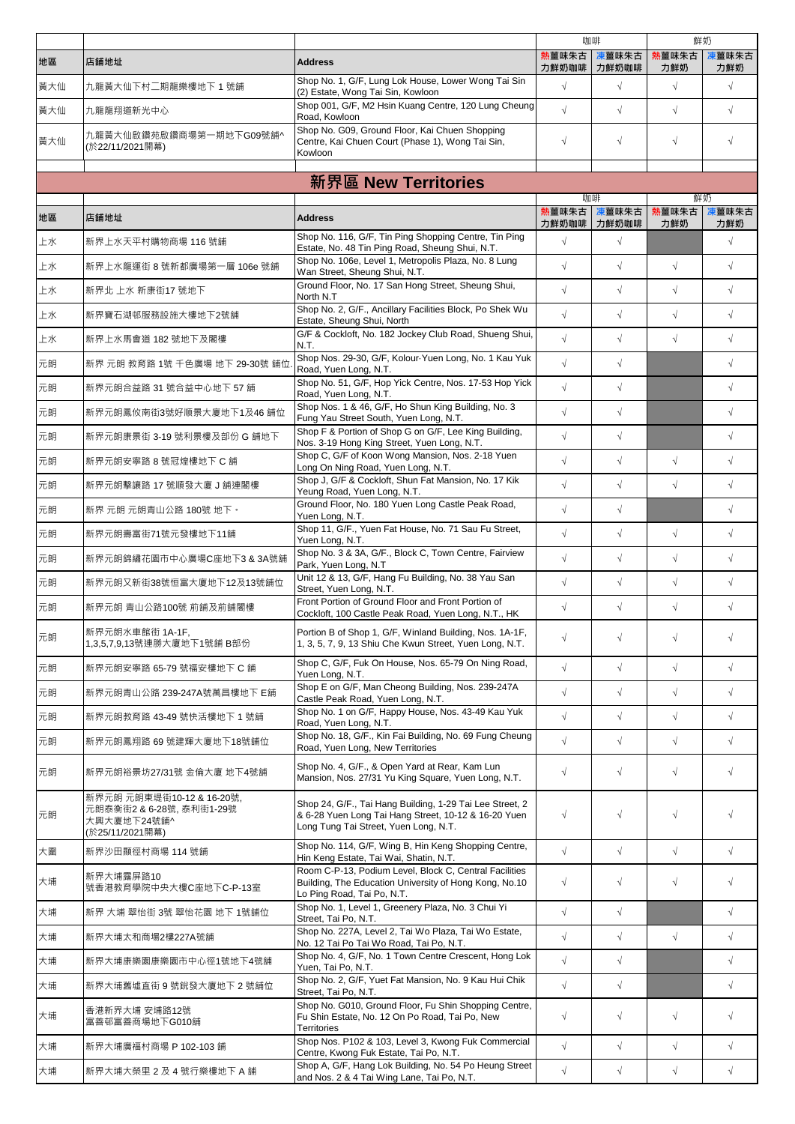|     |                                                                                       |                                                                                                                                                           |                | 咖啡             |              | 鮮奶           |
|-----|---------------------------------------------------------------------------------------|-----------------------------------------------------------------------------------------------------------------------------------------------------------|----------------|----------------|--------------|--------------|
| 地區  | 店舗地址                                                                                  | <b>Address</b>                                                                                                                                            | 熱薑味朱古<br>力鮮奶咖啡 | 凍薑味朱古<br>力鮮奶咖啡 | 熱薑味朱古<br>力鮮奶 | 凍薑味朱古<br>力鮮奶 |
| 黃大仙 | 九龍黃大仙下村二期龍樂樓地下 1號舖                                                                    | Shop No. 1, G/F, Lung Lok House, Lower Wong Tai Sin<br>(2) Estate, Wong Tai Sin, Kowloon                                                                  | $\sqrt{ }$     | $\sqrt{}$      | $\sqrt{}$    | $\sqrt{ }$   |
| 黃大仙 | 九龍龍翔道新光中心                                                                             | Shop 001, G/F, M2 Hsin Kuang Centre, 120 Lung Cheung<br>Road, Kowloon                                                                                     | $\sqrt{ }$     | $\sqrt{}$      | $\sqrt{}$    | $\sqrt{}$    |
| 黃大仙 | 九龍黃大仙啟鑽苑啟鑽商場第一期地下G09號舖^<br>(於22/11/2021開幕)                                            | Shop No. G09, Ground Floor, Kai Chuen Shopping<br>Centre, Kai Chuen Court (Phase 1), Wong Tai Sin,<br>Kowloon                                             | $\sqrt{}$      | $\sqrt{}$      | $\sqrt{}$    | $\sqrt{ }$   |
|     |                                                                                       |                                                                                                                                                           |                |                |              |              |
|     |                                                                                       | 新界區 New Territories                                                                                                                                       |                | 咖啡             | 鮮奶           |              |
| 地區  | 店舗地址                                                                                  | <b>Address</b>                                                                                                                                            | 熱薑味朱古<br>力鮮奶咖啡 | 凍薑味朱古<br>力鮮奶咖啡 | 熱薑味朱古<br>力鮮奶 | 東薑味朱古<br>力鮮奶 |
| 上水  | 新界上水天平村購物商場 116號舖                                                                     | Shop No. 116, G/F, Tin Ping Shopping Centre, Tin Ping<br>Estate, No. 48 Tin Ping Road, Sheung Shui, N.T.                                                  | $\sqrt{ }$     | $\sqrt{}$      |              | $\sqrt{2}$   |
| 上水  | 新界上水龍運街 8 號新都廣場第一層 106e 號舖                                                            | Shop No. 106e, Level 1, Metropolis Plaza, No. 8 Lung<br>Wan Street, Sheung Shui, N.T.                                                                     | $\sqrt{ }$     | $\sqrt{ }$     | $\sqrt{}$    | $\sqrt{2}$   |
| 上水  | 新界北 上水 新康街17 號地下                                                                      | Ground Floor, No. 17 San Hong Street, Sheung Shui,<br>North N.T                                                                                           | $\sqrt{ }$     | $\sqrt{}$      | $\sqrt{}$    | $\sqrt{2}$   |
| 上水  | 新界寶石湖邨服務設施大樓地下2號舖                                                                     | Shop No. 2, G/F., Ancillary Facilities Block, Po Shek Wu<br>Estate, Sheung Shui, North                                                                    | $\sqrt{ }$     | $\sqrt{ }$     | $\sqrt{}$    | $\sqrt{2}$   |
| 上水  | 新界上水馬會道 182 號地下及閣樓                                                                    | G/F & Cockloft, No. 182 Jockey Club Road, Shueng Shui,<br>N.T.                                                                                            | $\sqrt{ }$     | $\sqrt{ }$     | $\sqrt{ }$   | $\sqrt{2}$   |
| 元朗  | 新界 元朗 教育路 1號 千色廣場 地下 29-30號 舖位                                                        | Shop Nos. 29-30, G/F, Kolour-Yuen Long, No. 1 Kau Yuk<br>Road, Yuen Long, N.T.                                                                            | $\sqrt{ }$     | $\sqrt{}$      |              | $\sqrt{2}$   |
| 元朗  | 新界元朗合益路 31 號合益中心地下 57 舖                                                               | Shop No. 51, G/F, Hop Yick Centre, Nos. 17-53 Hop Yick<br>Road, Yuen Long, N.T.                                                                           | $\sqrt{ }$     | $\sqrt{}$      |              | $\sqrt{2}$   |
| 元朗  | 新界元朗鳳攸南街3號好順景大廈地下1及46 舖位                                                              | Shop Nos. 1 & 46, G/F, Ho Shun King Building, No. 3<br>Fung Yau Street South, Yuen Long, N.T.                                                             | $\sqrt{ }$     | $\sqrt{}$      |              | $\sqrt{2}$   |
| 元朗  | 新界元朗康景街 3-19 號利景樓及部份 G 舖地下                                                            | Shop F & Portion of Shop G on G/F, Lee King Building,<br>Nos. 3-19 Hong King Street, Yuen Long, N.T.                                                      | $\sqrt{ }$     | $\sqrt{}$      |              | $\sqrt{2}$   |
| 元朗  | 新界元朗安寧路 8 號冠煌樓地下 C 舖                                                                  | Shop C, G/F of Koon Wong Mansion, Nos. 2-18 Yuen<br>Long On Ning Road, Yuen Long, N.T.                                                                    | $\sqrt{ }$     | $\sqrt{}$      | $\sqrt{}$    | $\sqrt{2}$   |
| 元朗  | 新界元朗擊讓路 17 號順發大廈 J 舗連閣樓                                                               | Shop J, G/F & Cockloft, Shun Fat Mansion, No. 17 Kik<br>Yeung Road, Yuen Long, N.T.                                                                       | $\sqrt{}$      | $\sqrt{}$      | $\sqrt{}$    | $\sqrt{2}$   |
| 元朗  | 新界 元朗 元朗青山公路 180號 地下。                                                                 | Ground Floor, No. 180 Yuen Long Castle Peak Road,<br>Yuen Long, N.T.                                                                                      | $\sqrt{}$      | $\sqrt{}$      |              | $\sqrt{}$    |
| 元朗  | 新界元朗壽富街71號元發樓地下11舖                                                                    | Shop 11, G/F., Yuen Fat House, No. 71 Sau Fu Street,<br>Yuen Long, N.T.                                                                                   | $\sqrt{}$      | $\sqrt{}$      | $\sqrt{}$    | $\sqrt{}$    |
| 元朗  | 新界元朗錦繡花園市中心廣場C座地下3 & 3A號舖                                                             | Shop No. 3 & 3A, G/F., Block C, Town Centre, Fairview<br>Park, Yuen Long, N.T.                                                                            | $\sqrt{ }$     | $\sqrt{}$      | $\sqrt{}$    | $\sqrt{}$    |
| 元朗  | 新界元朗又新街38號恒富大廈地下12及13號舖位                                                              | Unit 12 & 13, G/F, Hang Fu Building, No. 38 Yau San<br>Street, Yuen Long, N.T.                                                                            | $\sqrt{}$      | $\sqrt{}$      | $\sqrt{}$    | $\sqrt{2}$   |
| 元朗  | 新界元朗 青山公路100號 前舖及前舖閣樓                                                                 | Front Portion of Ground Floor and Front Portion of<br>Cockloft, 100 Castle Peak Road, Yuen Long, N.T., HK                                                 | $\sqrt{}$      | $\sqrt{}$      | $\sqrt{}$    | $\sqrt{}$    |
| 元朗  | 新界元朗水車館街 1A-1F,<br>1,3,5,7,9,13號連勝大廈地下1號舖 B部份                                         | Portion B of Shop 1, G/F, Winland Building, Nos. 1A-1F,<br>1, 3, 5, 7, 9, 13 Shiu Che Kwun Street, Yuen Long, N.T.                                        | $\sqrt{ }$     | $\sqrt{}$      | $\sqrt{ }$   | $\sqrt{}$    |
| 元朗  | 新界元朗安寧路 65-79 號福安樓地下 C 舖                                                              | Shop C, G/F, Fuk On House, Nos. 65-79 On Ning Road,<br>Yuen Long, N.T.                                                                                    | $\sqrt{}$      | $\sqrt{}$      | $\sqrt{}$    | $\sqrt{2}$   |
| 元朗  | 新界元朗青山公路 239-247A號萬昌樓地下 E舖                                                            | Shop E on G/F, Man Cheong Building, Nos. 239-247A<br>Castle Peak Road, Yuen Long, N.T.                                                                    | $\sqrt{}$      | $\sqrt{}$      | $\sqrt{}$    | $\sqrt{2}$   |
| 元朗  | 新界元朗教育路 43-49 號快活樓地下 1 號舖                                                             | Shop No. 1 on G/F, Happy House, Nos. 43-49 Kau Yuk<br>Road, Yuen Long, N.T.                                                                               | $\sqrt{ }$     | $\sqrt{}$      | $\sqrt{}$    | $\sqrt{2}$   |
| 元朗  | 新界元朗鳳翔路 69 號建輝大廈地下18號舖位                                                               | Shop No. 18, G/F., Kin Fai Building, No. 69 Fung Cheung<br>Road, Yuen Long, New Territories                                                               | $\sqrt{ }$     | $\sqrt{}$      | $\sqrt{}$    | $\sqrt{2}$   |
| 元朗  | 新界元朗裕景坊27/31號 金倫大廈 地下4號舖                                                              | Shop No. 4, G/F., & Open Yard at Rear, Kam Lun<br>Mansion, Nos. 27/31 Yu King Square, Yuen Long, N.T.                                                     | $\sqrt{}$      | $\sqrt{}$      | $\sqrt{}$    | $\sqrt{ }$   |
| 元朗  | 新界元朗元朗東堤街10-12 & 16-20號,<br>元朗泰衡街2 & 6-28號,泰利街1-29號<br>大興大廈地下24號舖^<br>(於25/11/2021開幕) | Shop 24, G/F., Tai Hang Building, 1-29 Tai Lee Street, 2<br>& 6-28 Yuen Long Tai Hang Street, 10-12 & 16-20 Yuen<br>Long Tung Tai Street, Yuen Long, N.T. | $\sqrt{}$      | $\sqrt{ }$     | $\sqrt{}$    | $\sqrt{}$    |
| 大圍  | 新界沙田顯徑村商場 114 號舖                                                                      | Shop No. 114, G/F, Wing B, Hin Keng Shopping Centre,<br>Hin Keng Estate, Tai Wai, Shatin, N.T.                                                            | $\sqrt{}$      | $\sqrt{}$      | $\sqrt{ }$   | $\sqrt{ }$   |
| 大埔  | 新界大埔露屏路10<br>號香港教育學院中央大樓C座地下C-P-13室                                                   | Room C-P-13, Podium Level, Block C, Central Facilities<br>Building, The Education University of Hong Kong, No.10<br>Lo Ping Road, Tai Po, N.T.            | $\sqrt{}$      | $\sqrt{}$      | $\sqrt{}$    | $\sqrt{ }$   |
| 大埔  | 新界 大埔 翠怡街 3號 翠怡花園 地下 1號舖位                                                             | Shop No. 1, Level 1, Greenery Plaza, No. 3 Chui Yi<br>Street, Tai Po, N.T.                                                                                | $\sqrt{ }$     | $\sqrt{}$      |              | $\sqrt{ }$   |
| 大埔  | 新界大埔太和商場2樓227A號舖                                                                      | Shop No. 227A, Level 2, Tai Wo Plaza, Tai Wo Estate,<br>No. 12 Tai Po Tai Wo Road, Tai Po, N.T.                                                           | $\sqrt{ }$     | $\sqrt{ }$     | $\sqrt{}$    | $\sqrt{2}$   |
| 大埔  | 新界大埔康樂園康樂園市中心徑1號地下4號舖                                                                 | Shop No. 4, G/F, No. 1 Town Centre Crescent, Hong Lok<br>Yuen, Tai Po, N.T.                                                                               | $\sqrt{ }$     | $\sqrt{ }$     |              | $\sqrt{ }$   |
| 大埔  | 新界大埔舊墟直街 9 號銳發大廈地下 2 號舖位                                                              | Shop No. 2, G/F, Yuet Fat Mansion, No. 9 Kau Hui Chik<br>Street, Tai Po, N.T.                                                                             | $\sqrt{}$      | $\sqrt{}$      |              | $\sqrt{ }$   |
| 大埔  | 香港新界大埔 安埔路12號<br>富善邨富善商場地下G010舖                                                       | Shop No. G010, Ground Floor, Fu Shin Shopping Centre,<br>Fu Shin Estate, No. 12 On Po Road, Tai Po, New<br>Territories                                    | $\sqrt{}$      | $\sqrt{ }$     | $\sqrt{ }$   | $\sqrt{}$    |
| 大埔  | 新界大埔廣福村商場 P 102-103 舖                                                                 | Shop Nos. P102 & 103, Level 3, Kwong Fuk Commercial<br>Centre, Kwong Fuk Estate, Tai Po, N.T.                                                             | $\sqrt{ }$     | $\sqrt{}$      | $\sqrt{}$    | $\sqrt{2}$   |
| 大埔  | 新界大埔大榮里 2 及 4 號行樂樓地下 A 舖                                                              | Shop A, G/F, Hang Lok Building, No. 54 Po Heung Street<br>and Nos. 2 & 4 Tai Wing Lane, Tai Po, N.T.                                                      | $\sqrt{}$      | $\sqrt{}$      | $\sqrt{}$    | $\sqrt{ }$   |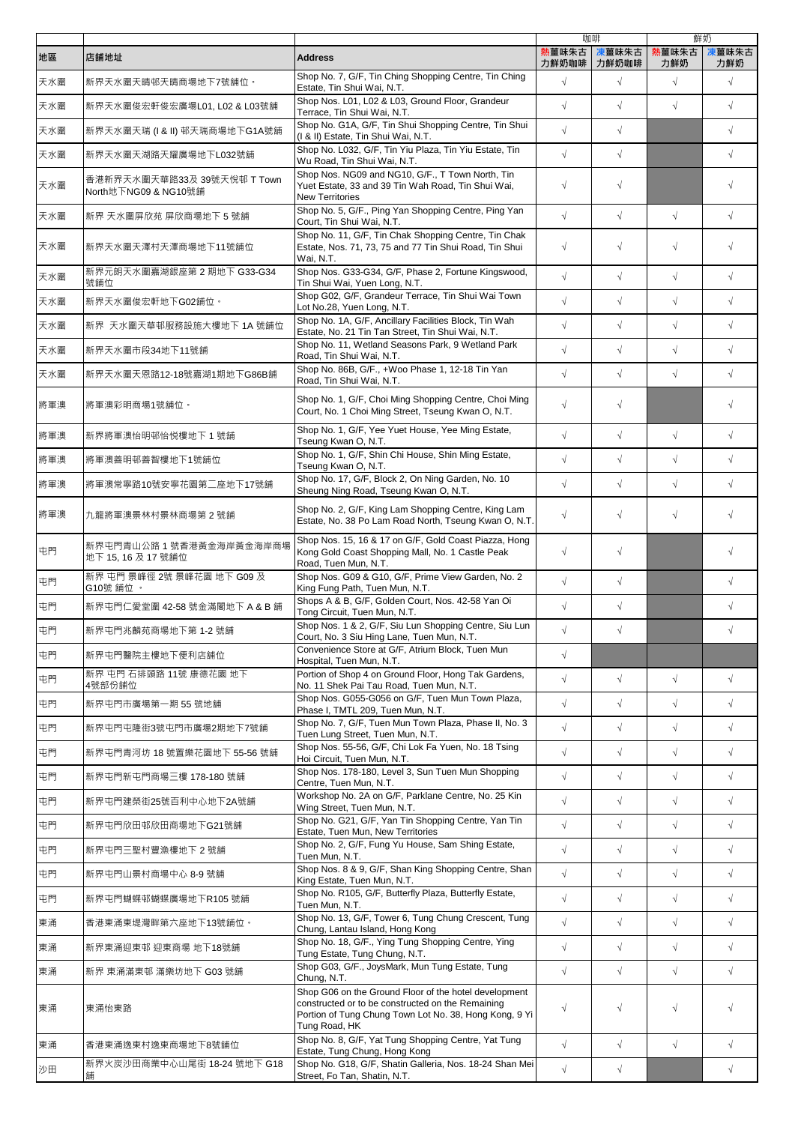|     |                                                     |                                                                                                                                                                                     |                | 咖啡             |              | 鮮奶           |
|-----|-----------------------------------------------------|-------------------------------------------------------------------------------------------------------------------------------------------------------------------------------------|----------------|----------------|--------------|--------------|
| 地區  | 店舗地址                                                | <b>Address</b>                                                                                                                                                                      | 熟薑味朱古<br>力鮮奶咖啡 | 凍薑味朱古<br>力鮮奶咖啡 | 熱薑味朱古<br>力鮮奶 | 凍薑味朱古<br>力鮮奶 |
| 天水圍 | 新界天水圍天晴邨天晴商場地下7號舖位。                                 | Shop No. 7, G/F, Tin Ching Shopping Centre, Tin Ching<br>Estate, Tin Shui Wai, N.T.                                                                                                 | $\sqrt{2}$     | $\sqrt{ }$     | $\sqrt{ }$   | $\sqrt{}$    |
| 天水圍 | 新界天水圍俊宏軒俊宏廣場L01, L02 & L03號舖                        | Shop Nos. L01, L02 & L03, Ground Floor, Grandeur<br>Terrace, Tin Shui Wai, N.T.                                                                                                     | $\sqrt{}$      | $\sqrt{ }$     | $\sqrt{ }$   | $\sqrt{}$    |
| 天水圍 | 新界天水圍天瑞 (I & II) 邨天瑞商場地下G1A號舖                       | Shop No. G1A, G/F, Tin Shui Shopping Centre, Tin Shui<br>(I & II) Estate, Tin Shui Wai, N.T.                                                                                        | $\sqrt{}$      | $\sqrt{}$      |              | $\sqrt{}$    |
| 天水圍 | 新界天水圍天湖路天耀廣場地下L032號舖                                | Shop No. L032, G/F, Tin Yiu Plaza, Tin Yiu Estate, Tin<br>Wu Road, Tin Shui Wai, N.T.                                                                                               | $\sqrt{}$      | $\sqrt{}$      |              | $\sqrt{}$    |
| 天水圍 | 香港新界天水圍天華路33及 39號天悅邨 T Town<br>North地下NG09 & NG10號鋪 | Shop Nos. NG09 and NG10, G/F., T Town North, Tin<br>Yuet Estate, 33 and 39 Tin Wah Road, Tin Shui Wai,<br><b>New Territories</b>                                                    | $\sqrt{}$      | $\sqrt{}$      |              | $\sqrt{}$    |
| 天水圍 | 新界 天水圍屏欣苑 屏欣商場地下 5 號舖                               | Shop No. 5, G/F., Ping Yan Shopping Centre, Ping Yan<br>Court, Tin Shui Wai, N.T.                                                                                                   | $\sqrt{2}$     | $\sqrt{ }$     | $\sqrt{ }$   | $\sqrt{2}$   |
| 天水圍 | 新界天水圍天澤村天澤商場地下11號舖位                                 | Shop No. 11, G/F, Tin Chak Shopping Centre, Tin Chak<br>Estate, Nos. 71, 73, 75 and 77 Tin Shui Road, Tin Shui<br>Wai, N.T.                                                         | $\sqrt{}$      | $\sqrt{}$      | $\sqrt{ }$   | $\sqrt{2}$   |
| 天水圍 | 新界元朗天水圍嘉湖銀座第 2 期地下 G33-G34<br>號鋪位                   | Shop Nos. G33-G34, G/F, Phase 2, Fortune Kingswood,<br>Tin Shui Wai, Yuen Long, N.T.                                                                                                | $\sqrt{}$      | $\sqrt{}$      | $\sqrt{ }$   | $\sqrt{}$    |
| 天水圍 | 新界天水圍俊宏軒地下G02舖位。                                    | Shop G02, G/F, Grandeur Terrace, Tin Shui Wai Town<br>Lot No.28, Yuen Long, N.T.                                                                                                    | $\sqrt{}$      | $\sqrt{}$      | $\sqrt{ }$   | $\sqrt{}$    |
| 天水圍 | 新界 天水圍天華邨服務設施大樓地下 1A 號舖位                            | Shop No. 1A, G/F, Ancillary Facilities Block, Tin Wah<br>Estate, No. 21 Tin Tan Street, Tin Shui Wai, N.T.                                                                          | $\sqrt{}$      | $\sqrt{}$      | $\sqrt{ }$   | $\sqrt{}$    |
| 天水圍 | 新界天水圍市段34地下11號舖                                     | Shop No. 11, Wetland Seasons Park, 9 Wetland Park<br>Road, Tin Shui Wai, N.T.                                                                                                       | $\sqrt{ }$     | $\sqrt{ }$     | $\sqrt{ }$   | $\sqrt{}$    |
| 天水圍 | 新界天水圍天恩路12-18號嘉湖1期地下G86B舖                           | Shop No. 86B, G/F., +Woo Phase 1, 12-18 Tin Yan<br>Road. Tin Shui Wai. N.T.                                                                                                         | $\sqrt{ }$     | $\sqrt{}$      | $\sqrt{ }$   | $\sqrt{2}$   |
| 將軍澳 | 將軍澳彩明商場1號舖位。                                        | Shop No. 1, G/F, Choi Ming Shopping Centre, Choi Ming<br>Court, No. 1 Choi Ming Street, Tseung Kwan O, N.T.                                                                         | $\sqrt{}$      | $\sqrt{ }$     |              | $\sqrt{}$    |
| 將軍澳 | 新界將軍澳怡明邨怡悦樓地下 1號舖                                   | Shop No. 1, G/F, Yee Yuet House, Yee Ming Estate,<br>Tseung Kwan O, N.T.                                                                                                            | $\sqrt{}$      | $\sqrt{ }$     | $\sqrt{}$    | $\sqrt{}$    |
| 將軍澳 | 將軍澳善明邨善智樓地下1號舖位                                     | Shop No. 1, G/F, Shin Chi House, Shin Ming Estate,<br>Tseung Kwan O, N.T.                                                                                                           | $\sqrt{}$      | $\sqrt{}$      | $\sqrt{ }$   | $\sqrt{}$    |
| 將軍澳 | 將軍澳常寧路10號安寧花園第二座地下17號舖                              | Shop No. 17, G/F, Block 2, On Ning Garden, No. 10<br>Sheung Ning Road, Tseung Kwan O, N.T.                                                                                          | $\sqrt{}$      | $\sqrt{}$      | $\sqrt{}$    | $\sqrt{}$    |
| 將軍澳 | 九龍將軍澳景林村景林商場第2號舖                                    | Shop No. 2, G/F, King Lam Shopping Centre, King Lam<br>Estate, No. 38 Po Lam Road North, Tseung Kwan O, N.T.                                                                        | $\sqrt{}$      | $\sqrt{}$      | $\sqrt{}$    | $\sqrt{}$    |
| 屯門  | 新界屯門青山公路 1 號香港黃金海岸黃金海岸商場<br>地下 15, 16 及 17 號舖位      | Shop Nos. 15, 16 & 17 on G/F, Gold Coast Piazza, Hong<br>Kong Gold Coast Shopping Mall, No. 1 Castle Peak<br>Road, Tuen Mun, N.T.                                                   | $\sqrt{}$      | $\sqrt{}$      |              | $\sqrt{}$    |
| 屯門  | 新界 屯門 景峰徑 2號 景峰花園 地下 G09 及<br>G10號 鋪位 。             | Shop Nos. G09 & G10, G/F, Prime View Garden, No. 2<br>King Fung Path, Tuen Mun, N.T.                                                                                                | $\sqrt{}$      | $\sqrt{}$      |              | $\sqrt{}$    |
| 屯門  | 新界屯門仁愛堂圍 42-58 號金滿閣地下 A & B 舖                       | Shops A & B, G/F, Golden Court, Nos. 42-58 Yan Oi<br>Tong Circuit, Tuen Mun, N.T.                                                                                                   | $\sqrt{}$      | $\sqrt{ }$     |              | $\sqrt{}$    |
| 屯門  | 新界屯門兆麟苑商場地下第 1-2 號舖                                 | Shop Nos. 1 & 2, G/F, Siu Lun Shopping Centre, Siu Lun<br>Court, No. 3 Siu Hing Lane, Tuen Mun, N.T.                                                                                | $\sqrt{2}$     | $\sqrt{ }$     |              | $\sqrt{ }$   |
| 屯門  | 新界屯門醫院主樓地下便利店舖位                                     | Convenience Store at G/F. Atrium Block. Tuen Mun<br>Hospital, Tuen Mun, N.T.                                                                                                        | $\sqrt{ }$     |                |              |              |
| 屯門  | 新界 屯門 石排頭路 11號 康德花園 地下<br>4號部份舖位                    | Portion of Shop 4 on Ground Floor, Hong Tak Gardens,<br>No. 11 Shek Pai Tau Road, Tuen Mun, N.T.                                                                                    | $\sqrt{}$      | $\sqrt{ }$     | $\sqrt{ }$   | $\sqrt{2}$   |
| 屯門  | 新界屯門市廣場第一期 55 號地舖                                   | Shop Nos. G055-G056 on G/F, Tuen Mun Town Plaza,<br>Phase I, TMTL 209, Tuen Mun, N.T.                                                                                               | $\sqrt{}$      | $\sqrt{ }$     | $\sqrt{ }$   | $\sqrt{}$    |
| 屯門  | 新界屯門屯隆街3號屯門市廣場2期地下7號舖                               | Shop No. 7, G/F, Tuen Mun Town Plaza, Phase II, No. 3<br>Tuen Lung Street, Tuen Mun, N.T.                                                                                           | $\sqrt{}$      | $\sqrt{ }$     | $\sqrt{ }$   | $\sqrt{2}$   |
| 屯門  | 新界屯門青河坊 18 號置樂花園地下 55-56 號舖                         | Shop Nos. 55-56, G/F, Chi Lok Fa Yuen, No. 18 Tsing<br>Hoi Circuit, Tuen Mun, N.T.                                                                                                  | $\sqrt{2}$     | $\sqrt{ }$     | $\sqrt{ }$   | $\sqrt{2}$   |
| 屯門  | 新界屯門新屯門商場三樓 178-180 號舖                              | Shop Nos. 178-180, Level 3, Sun Tuen Mun Shopping<br>Centre, Tuen Mun, N.T.                                                                                                         | $\sqrt{2}$     | $\sqrt{ }$     | $\sqrt{}$    | $\sqrt{2}$   |
| 屯門  | 新界屯門建榮街25號百利中心地下2A號舖                                | Workshop No. 2A on G/F, Parklane Centre, No. 25 Kin<br>Wing Street, Tuen Mun, N.T.                                                                                                  | $\sqrt{}$      | $\sqrt{ }$     | $\sqrt{ }$   | $\sqrt{2}$   |
| 屯門  | 新界屯門欣田邨欣田商場地下G21號舖                                  | Shop No. G21, G/F, Yan Tin Shopping Centre, Yan Tin<br>Estate, Tuen Mun, New Territories                                                                                            | $\sqrt{2}$     | $\sqrt{ }$     | $\sqrt{}$    | $\sqrt{}$    |
| 屯門  | 新界屯門三聖村豐漁樓地下 2號鋪                                    | Shop No. 2, G/F, Fung Yu House, Sam Shing Estate,<br>Tuen Mun, N.T.                                                                                                                 | $\sqrt{ }$     | $\sqrt{}$      | $\sqrt{}$    | $\sqrt{2}$   |
| 屯門  | 新界屯門山景村商場中心 8-9 號舖                                  | Shop Nos. 8 & 9, G/F, Shan King Shopping Centre, Shan<br>King Estate, Tuen Mun, N.T.                                                                                                | $\sqrt{}$      | $\sqrt{ }$     | $\sqrt{ }$   | $\sqrt{}$    |
| 屯門  | 新界屯門蝴蝶邨蝴蝶廣場地下R105 號舖                                | Shop No. R105, G/F, Butterfly Plaza, Butterfly Estate,                                                                                                                              | $\sqrt{}$      | $\sqrt{ }$     | $\sqrt{ }$   | $\sqrt{}$    |
| 東涌  | 香港東涌東堤灣畔第六座地下13號舖位。                                 | Tuen Mun, N.T.<br>Shop No. 13, G/F, Tower 6, Tung Chung Crescent, Tung                                                                                                              | $\sqrt{ }$     | $\sqrt{ }$     | $\sqrt{ }$   | $\sqrt{}$    |
| 東涌  | 新界東涌迎東邨 迎東商場 地下18號舖                                 | Chung, Lantau Island, Hong Kong<br>Shop No. 18, G/F., Ying Tung Shopping Centre, Ying                                                                                               | $\sqrt{}$      | $\sqrt{}$      | $\sqrt{}$    | $\sqrt{}$    |
| 東涌  | 新界 東涌滿東邨 滿樂坊地下 G03 號舖                               | Tung Estate, Tung Chung, N.T.<br>Shop G03, G/F., JoysMark, Mun Tung Estate, Tung                                                                                                    | $\sqrt{}$      | $\sqrt{ }$     | $\sqrt{ }$   | $\sqrt{2}$   |
| 東涌  | 東涌怡東路                                               | Chung, N.T.<br>Shop G06 on the Ground Floor of the hotel development<br>constructed or to be constructed on the Remaining<br>Portion of Tung Chung Town Lot No. 38, Hong Kong, 9 Yi | $\sqrt{}$      | $\sqrt{}$      | $\sqrt{}$    | $\sqrt{}$    |
| 東涌  | 香港東涌逸東村逸東商場地下8號舖位                                   | Tung Road, HK<br>Shop No. 8, G/F, Yat Tung Shopping Centre, Yat Tung                                                                                                                | $\sqrt{}$      | $\sqrt{ }$     | $\sqrt{ }$   | $\sqrt{}$    |
| 沙田  | 新界火炭沙田商業中心山尾街 18-24 號地下 G18                         | Estate, Tung Chung, Hong Kong<br>Shop No. G18, G/F, Shatin Galleria, Nos. 18-24 Shan Mei                                                                                            | $\sqrt{}$      | $\sqrt{}$      |              | $\sqrt{}$    |
|     | 舖                                                   | Street, Fo Tan, Shatin, N.T.                                                                                                                                                        |                |                |              |              |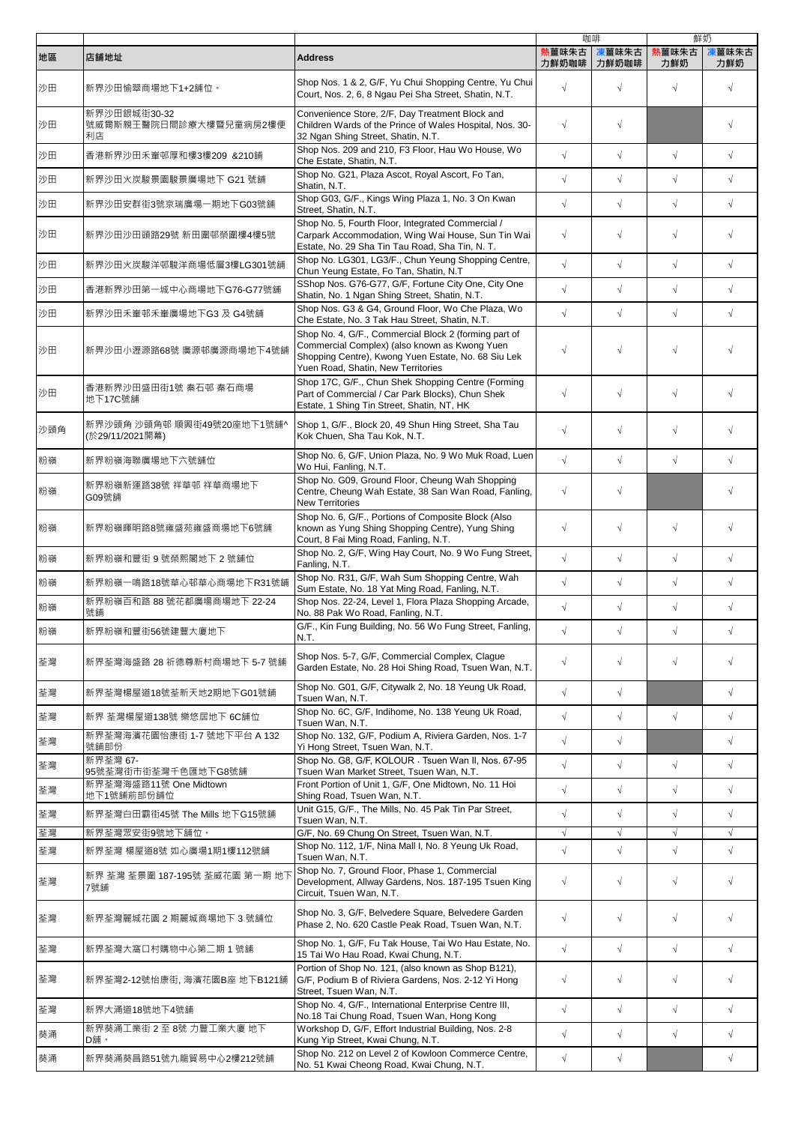|     |                                               |                                                                                                                                                                                                     |                 | 咖啡             |              | 鮮奶           |
|-----|-----------------------------------------------|-----------------------------------------------------------------------------------------------------------------------------------------------------------------------------------------------------|-----------------|----------------|--------------|--------------|
| 地區  | 店舖地址                                          | <b>Address</b>                                                                                                                                                                                      | 熱薑味朱古<br>力鮮奶咖啡丨 | 凍薑味朱古<br>力鮮奶咖啡 | 熱薑味朱古<br>力鮮奶 | 凍薑味朱古<br>力鮮奶 |
| 沙田  | 新界沙田愉翠商場地下1+2舖位。                              | Shop Nos. 1 & 2, G/F, Yu Chui Shopping Centre, Yu Chui<br>Court, Nos. 2, 6, 8 Ngau Pei Sha Street, Shatin, N.T.                                                                                     | $\sqrt{}$       | $\sqrt{ }$     | $\sqrt{ }$   | $\sqrt{}$    |
| 沙田  | 新界沙田銀城街30-32<br>號威爾斯親王醫院日間診療大樓暨兒童病房2樓便<br>利店  | Convenience Store, 2/F, Day Treatment Block and<br>Children Wards of the Prince of Wales Hospital, Nos. 30-<br>32 Ngan Shing Street, Shatin, N.T.                                                   | $\sqrt{}$       | $\sqrt{ }$     |              | $\sqrt{}$    |
| 沙田  | 香港新界沙田禾輋邨厚和樓3樓209 &210舖                       | Shop Nos. 209 and 210, F3 Floor, Hau Wo House, Wo<br>Che Estate, Shatin, N.T.                                                                                                                       | $\sqrt{}$       | $\sqrt{}$      | $\sqrt{ }$   | $\sqrt{}$    |
| 沙田  | 新界沙田火炭駿景園駿景廣場地下 G21 號舖                        | Shop No. G21, Plaza Ascot, Royal Ascort, Fo Tan,<br>Shatin, N.T.                                                                                                                                    | $\sqrt{}$       | $\sqrt{}$      | $\sqrt{ }$   | $\sqrt{}$    |
| 沙田  | 新界沙田安群街3號京瑞廣場一期地下G03號舖                        | Shop G03, G/F., Kings Wing Plaza 1, No. 3 On Kwan<br>Street, Shatin, N.T.                                                                                                                           | $\sqrt{2}$      | $\sqrt{}$      | $\sqrt{ }$   | $\sqrt{2}$   |
| 沙田  | 新界沙田沙田頭路29號 新田圍邨榮圍樓4樓5號                       | Shop No. 5, Fourth Floor, Integrated Commercial /<br>Carpark Accommodation, Wing Wai House, Sun Tin Wai<br>Estate, No. 29 Sha Tin Tau Road, Sha Tin, N. T.                                          | $\sqrt{}$       | $\sqrt{ }$     | $\sqrt{}$    | $\sqrt{}$    |
| 沙田  | 新界沙田火炭駿洋邨駿洋商場低層3樓LG301號舖                      | Shop No. LG301, LG3/F., Chun Yeung Shopping Centre,<br>Chun Yeung Estate, Fo Tan, Shatin, N.T                                                                                                       | $\sqrt{2}$      | $\sqrt{ }$     | $\sqrt{ }$   | $\sqrt{2}$   |
| 沙田  | 香港新界沙田第一城中心商場地下G76-G77號舖                      | SShop Nos. G76-G77, G/F, Fortune City One, City One<br>Shatin, No. 1 Ngan Shing Street, Shatin, N.T.                                                                                                | $\sqrt{}$       | $\sqrt{ }$     | $\sqrt{ }$   | $\sqrt{ }$   |
| 沙田  | 新界沙田禾輋邨禾輋廣場地下G3 及 G4號舖                        | Shop Nos. G3 & G4, Ground Floor, Wo Che Plaza, Wo<br>Che Estate, No. 3 Tak Hau Street, Shatin, N.T.                                                                                                 | $\sqrt{}$       | $\sqrt{ }$     | $\sqrt{ }$   | $\sqrt{ }$   |
| 沙田  | 新畀沙田小瀝源路68號 廣源邨廣源商場地下4號舖                      | Shop No. 4, G/F., Commercial Block 2 (forming part of<br>Commercial Complex) (also known as Kwong Yuen<br>Shopping Centre), Kwong Yuen Estate, No. 68 Siu Lek<br>Yuen Road, Shatin, New Territories | $\sqrt{}$       | $\sqrt{ }$     | $\sqrt{ }$   | $\sqrt{}$    |
| 沙田  | 香港新界沙田盛田街1號 秦石邨 秦石商場<br>地下17C號舖               | Shop 17C, G/F., Chun Shek Shopping Centre (Forming<br>Part of Commercial / Car Park Blocks), Chun Shek<br>Estate, 1 Shing Tin Street, Shatin, NT, HK                                                | $\sqrt{}$       | $\sqrt{ }$     | $\sqrt{ }$   | $\sqrt{}$    |
| 沙頭角 | 新界沙頭角 沙頭角邨 順興街49號20座地下1號舖^<br>(於29/11/2021開幕) | Shop 1, G/F., Block 20, 49 Shun Hing Street, Sha Tau<br>Kok Chuen, Sha Tau Kok, N.T.                                                                                                                | $\sqrt{}$       | $\sqrt{ }$     | $\sqrt{ }$   | $\sqrt{}$    |
| 粉嶺  | 新界粉嶺海聯廣場地下六號舖位                                | Shop No. 6, G/F, Union Plaza, No. 9 Wo Muk Road, Luen<br>Wo Hui, Fanling, N.T.                                                                                                                      | $\sqrt{2}$      | $\sqrt{}$      | $\sqrt{ }$   | $\sqrt{}$    |
| 粉嶺  | 新界粉嶺新運路38號 祥華邨 祥華商場地下<br>G09號鋪                | Shop No. G09, Ground Floor, Cheung Wah Shopping<br>Centre, Cheung Wah Estate, 38 San Wan Road, Fanling,<br><b>New Territories</b>                                                                   | $\sqrt{}$       | $\sqrt{ }$     |              | $\sqrt{}$    |
| 粉嶺  | 新界粉嶺暉明路8號雍盛苑雍盛商場地下6號舖                         | Shop No. 6, G/F., Portions of Composite Block (Also<br>known as Yung Shing Shopping Centre), Yung Shing<br>Court, 8 Fai Ming Road, Fanling, N.T.                                                    | $\sqrt{}$       | $\sqrt{ }$     | $\sqrt{ }$   | $\sqrt{}$    |
| 粉嶺  | 新界粉嶺和豐街9號榮熙閣地下2號舖位                            | Shop No. 2, G/F, Wing Hay Court, No. 9 Wo Fung Street,<br>Fanling, N.T.                                                                                                                             | $\sqrt{}$       | $\sqrt{}$      | $\sqrt{ }$   | $\sqrt{}$    |
| 粉嶺  | 新界粉嶺一鳴路18號華心邨華心商場地下R31號鋪                      | Shop No. R31, G/F, Wah Sum Shopping Centre, Wah<br>Sum Estate, No. 18 Yat Ming Road, Fanling, N.T.                                                                                                  | $\sqrt{}$       | $\sqrt{ }$     | $\sqrt{ }$   | $\sqrt{}$    |
| 粉嶺  | 新界粉嶺百和路 88 號花都廣場商場地下 22-24<br>號鋪              | Shop Nos. 22-24, Level 1, Flora Plaza Shopping Arcade,<br>No. 88 Pak Wo Road, Fanling, N.T.                                                                                                         | $\sqrt{}$       | $\sqrt{}$      | $\sqrt{}$    | $\sqrt{}$    |
| 粉嶺  | 新界粉嶺和豐街56號建豐大廈地下                              | G/F., Kin Fung Building, No. 56 Wo Fung Street, Fanling,<br>N.T.                                                                                                                                    | $\sqrt{}$       | $\sqrt{ }$     | $\sqrt{ }$   |              |
| 荃灣  | 新界荃灣海盛路 28 祈德尊新村商場地下 5-7 號舖                   | Shop Nos. 5-7, G/F, Commercial Complex, Clague<br>Garden Estate, No. 28 Hoi Shing Road, Tsuen Wan, N.T.                                                                                             | $\sqrt{}$       | $\sqrt{ }$     | $\sqrt{ }$   | $\sqrt{}$    |
| 荃灣  | 新界荃灣楊屋道18號荃新天地2期地下G01號舖                       | Shop No. G01, G/F, Citywalk 2, No. 18 Yeung Uk Road,<br>Tsuen Wan, N.T.                                                                                                                             | $\sqrt{}$       | $\sqrt{ }$     |              | $\sqrt{2}$   |
| 荃灣  | 新界 荃灣楊屋道138號 樂悠居地下 6C舖位                       | Shop No. 6C, G/F, Indihome, No. 138 Yeung Uk Road,<br>Tsuen Wan, N.T.                                                                                                                               | $\sqrt{}$       | $\sqrt{}$      | $\sqrt{}$    | $\sqrt{}$    |
| 荃灣  | 新界荃灣海濱花園怡康街 1-7 號地下平台 A 132<br>號舖部份           | Shop No. 132, G/F, Podium A, Riviera Garden, Nos. 1-7<br>Yi Hong Street, Tsuen Wan, N.T.                                                                                                            | $\sqrt{}$       | $\sqrt{}$      |              | $\sqrt{}$    |
| 荃灣  | 新界荃灣 67-<br>95號荃灣街市街荃灣千色匯地下G8號舖               | Shop No. G8, G/F, KOLOUR . Tsuen Wan II, Nos. 67-95<br>Tsuen Wan Market Street, Tsuen Wan, N.T.                                                                                                     | $\sqrt{}$       | $\sqrt{ }$     | $\sqrt{ }$   | $\sqrt{}$    |
| 荃灣  | 新界荃灣海盛路11號 One Midtown<br>地下1號舖前部份舖位          | Front Portion of Unit 1, G/F, One Midtown, No. 11 Hoi<br>Shing Road, Tsuen Wan, N.T.                                                                                                                | $\sqrt{}$       | $\sqrt{}$      | $\sqrt{ }$   | $\sqrt{}$    |
| 荃灣  | 新界荃灣白田霸街45號 The Mills 地下G15號舖                 | Unit G15, G/F., The Mills, No. 45 Pak Tin Par Street,                                                                                                                                               | $\sqrt{}$       | $\sqrt{ }$     | $\sqrt{}$    | $\sqrt{}$    |
| 荃灣  | 新界荃灣眾安街9號地下舖位。                                | Tsuen Wan, N.T.<br>G/F, No. 69 Chung On Street, Tsuen Wan, N.T.                                                                                                                                     | $\sqrt{ }$      | $\sqrt{ }$     | $\sqrt{ }$   | $\sqrt{}$    |
| 荃灣  | 新界荃灣 楊屋道8號 如心廣場1期1樓112號舖                      | Shop No. 112, 1/F, Nina Mall I, No. 8 Yeung Uk Road,<br>Tsuen Wan, N.T.                                                                                                                             | $\sqrt{2}$      | $\sqrt{}$      | $\sqrt{ }$   | $\sqrt{2}$   |
| 荃灣  | 新界 荃灣 荃景圍 187-195號 荃威花園 第一期 地下<br>7號舖         | Shop No. 7, Ground Floor, Phase 1, Commercial<br>Development, Allway Gardens, Nos. 187-195 Tsuen King<br>Circuit, Tsuen Wan, N.T.                                                                   | $\sqrt{}$       | $\sqrt{ }$     | $\sqrt{ }$   | $\sqrt{}$    |
| 荃灣  | 新界荃灣麗城花園 2 期麗城商場地下 3 號舖位                      | Shop No. 3, G/F, Belvedere Square, Belvedere Garden<br>Phase 2, No. 620 Castle Peak Road, Tsuen Wan, N.T.                                                                                           | $\sqrt{}$       | $\sqrt{}$      | $\sqrt{ }$   | $\sqrt{}$    |
| 荃灣  | 新界荃灣大窩口村購物中心第二期 1 號舖                          | Shop No. 1, G/F, Fu Tak House, Tai Wo Hau Estate, No.<br>15 Tai Wo Hau Road, Kwai Chung, N.T.                                                                                                       | $\sqrt{}$       | $\sqrt{}$      | $\sqrt{}$    | $\sqrt{}$    |
| 荃灣  | 新界荃灣2-12號怡康街, 海濱花園B座 地下B121舖                  | Portion of Shop No. 121, (also known as Shop B121),<br>G/F, Podium B of Riviera Gardens, Nos. 2-12 Yi Hong<br>Street, Tsuen Wan, N.T.                                                               | $\sqrt{}$       | $\sqrt{}$      | $\sqrt{ }$   | $\sqrt{}$    |
| 荃灣  | 新界大涌道18號地下4號舖                                 | Shop No. 4, G/F., International Enterprise Centre III,<br>No.18 Tai Chung Road, Tsuen Wan, Hong Kong                                                                                                | $\sqrt{}$       | $\sqrt{ }$     | $\sqrt{ }$   | $\sqrt{}$    |
| 葵涌  | 新界葵涌工業街 2至8號 力豐工業大廈 地下<br>D舗。                 | Workshop D, G/F, Effort Industrial Building, Nos. 2-8<br>Kung Yip Street, Kwai Chung, N.T.                                                                                                          | $\sqrt{}$       | $\sqrt{ }$     | $\sqrt{ }$   | $\sqrt{}$    |
| 葵涌  | 新界葵涌葵昌路51號九龍貿易中心2樓212號舖                       | Shop No. 212 on Level 2 of Kowloon Commerce Centre,<br>No. 51 Kwai Cheong Road, Kwai Chung, N.T.                                                                                                    | $\sqrt{}$       | $\sqrt{}$      |              | $\sqrt{}$    |
|     |                                               |                                                                                                                                                                                                     |                 |                |              |              |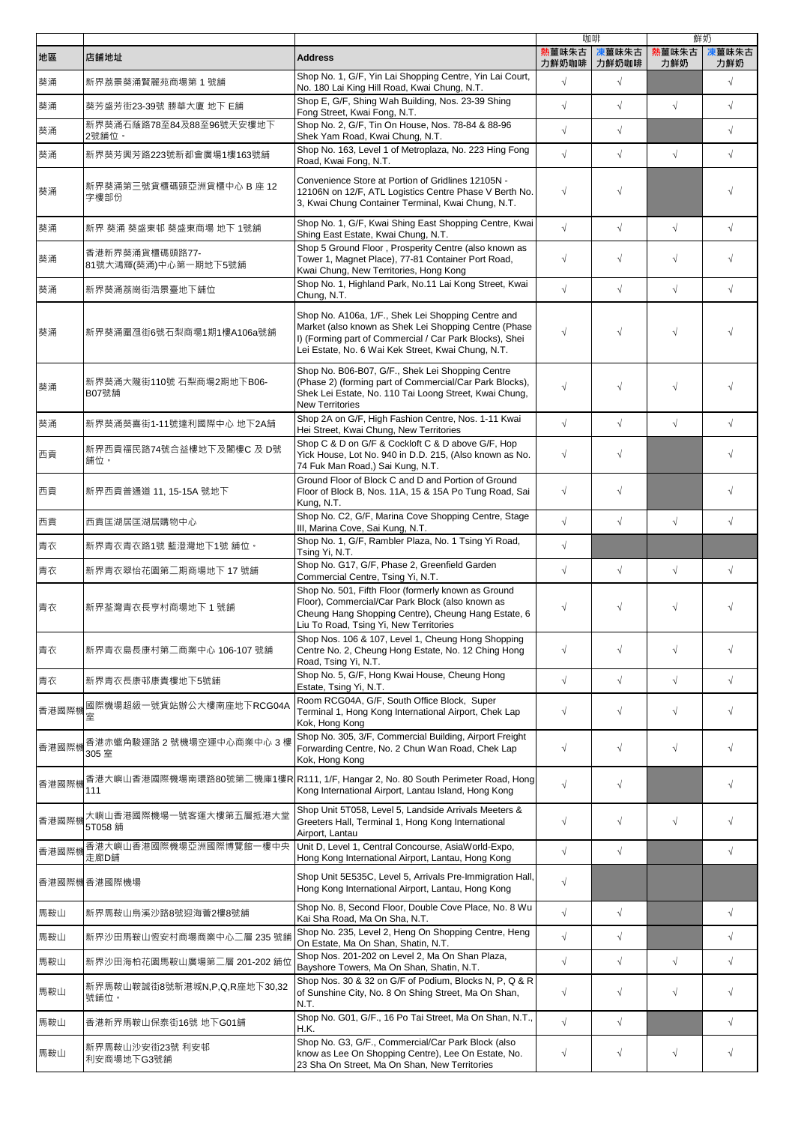|       |                                        |                                                                                                                                                                                                                              |            | 咖啡         |            | 鮮奶         |
|-------|----------------------------------------|------------------------------------------------------------------------------------------------------------------------------------------------------------------------------------------------------------------------------|------------|------------|------------|------------|
| 地區    | 店舗地址                                   | <b>Address</b>                                                                                                                                                                                                               | 熱薑味朱古      | 凍薑味朱古      | 熱薑味朱古      | 凍薑味朱古      |
|       |                                        | Shop No. 1, G/F, Yin Lai Shopping Centre, Yin Lai Court,                                                                                                                                                                     | 力鮮奶咖啡      | 力鮮奶咖啡      | 力鮮奶        | 力鮮奶        |
| 葵涌    | 新界荔景葵涌賢麗苑商場第1號舖                        | No. 180 Lai King Hill Road, Kwai Chung, N.T.<br>Shop E, G/F, Shing Wah Building, Nos. 23-39 Shing                                                                                                                            | $\sqrt{ }$ | $\sqrt{ }$ |            | $\sqrt{ }$ |
| 葵涌    | 葵芳盛芳街23-39號 勝華大廈 地下 E舖                 | Fong Street, Kwai Fong, N.T.                                                                                                                                                                                                 | $\sqrt{ }$ | $\sqrt{2}$ | $\sqrt{}$  | $\sqrt{2}$ |
| 葵涌    | 新界葵涌石蔭路78至84及88至96號天安樓地下<br>2號舖位。      | Shop No. 2, G/F, Tin On House, Nos. 78-84 & 88-96<br>Shek Yam Road, Kwai Chung, N.T.                                                                                                                                         | $\sqrt{ }$ | $\sqrt{}$  |            | $\sqrt{}$  |
| 葵涌    | 新界葵芳興芳路223號新都會廣場1樓163號舖                | Shop No. 163, Level 1 of Metroplaza, No. 223 Hing Fong<br>Road, Kwai Fong, N.T.                                                                                                                                              | $\sqrt{ }$ | $\sqrt{2}$ | $\sqrt{}$  | $\sqrt{2}$ |
| 葵涌    | 新界葵涌第三號貨櫃碼頭亞洲貨櫃中心 B 座 12  <br>字樓部份     | Convenience Store at Portion of Gridlines 12105N -<br>12106N on 12/F, ATL Logistics Centre Phase V Berth No.<br>3, Kwai Chung Container Terminal, Kwai Chung, N.T.                                                           | $\sqrt{}$  | $\sqrt{}$  |            | $\sqrt{}$  |
| 葵涌    | 新界 葵涌 葵盛東邨 葵盛東商場 地下 1號舖                | Shop No. 1, G/F, Kwai Shing East Shopping Centre, Kwai<br>Shing East Estate, Kwai Chung, N.T.                                                                                                                                | $\sqrt{ }$ | $\sqrt{}$  | $\sqrt{}$  | $\sqrt{ }$ |
| 葵涌    | 香港新界葵涌貨櫃碼頭路77-<br>81號大鴻輝(葵涌)中心第一期地下5號舖 | Shop 5 Ground Floor, Prosperity Centre (also known as<br>Tower 1, Magnet Place), 77-81 Container Port Road,<br>Kwai Chung, New Territories, Hong Kong                                                                        | $\sqrt{}$  | $\sqrt{}$  | $\sqrt{}$  | $\sqrt{ }$ |
| 葵涌    | 新界葵涌荔崗街浩景臺地下舖位                         | Shop No. 1, Highland Park, No.11 Lai Kong Street, Kwai<br>Chung, N.T.                                                                                                                                                        | $\sqrt{ }$ | $\sqrt{2}$ | $\sqrt{2}$ | $\sqrt{ }$ |
| 葵涌    | 新界葵涌圍乪街6號石梨商場1期1樓A106a號舖               | Shop No. A106a, 1/F., Shek Lei Shopping Centre and<br>Market (also known as Shek Lei Shopping Centre (Phase<br>I) (Forming part of Commercial / Car Park Blocks), Shei<br>Lei Estate, No. 6 Wai Kek Street, Kwai Chung, N.T. | $\sqrt{ }$ | $\sqrt{}$  | $\sqrt{}$  |            |
| 葵涌    | 新界葵涌大隴街110號 石梨商場2期地下B06-<br>B07號舗      | Shop No. B06-B07, G/F., Shek Lei Shopping Centre<br>(Phase 2) (forming part of Commercial/Car Park Blocks),<br>Shek Lei Estate, No. 110 Tai Loong Street, Kwai Chung,<br><b>New Territories</b>                              | $\sqrt{}$  | $\sqrt{}$  | $\sqrt{}$  |            |
| 葵涌    | 新界葵涌葵喜街1-11號達利國際中心 地下2A舗               | Shop 2A on G/F, High Fashion Centre, Nos. 1-11 Kwai<br>Hei Street, Kwai Chung, New Territories                                                                                                                               | $\sqrt{ }$ | $\sqrt{}$  | $\sqrt{}$  | $\sqrt{ }$ |
| 西貢    | 新界西貢福民路74號合益樓地下及閣樓C 及 D號<br>舖位。        | Shop C & D on G/F & Cockloft C & D above G/F, Hop<br>Yick House, Lot No. 940 in D.D. 215, (Also known as No.<br>74 Fuk Man Road,) Sai Kung, N.T.                                                                             | $\sqrt{}$  | $\sqrt{}$  |            | $\sqrt{}$  |
| 西貢    | 新界西貢普通道 11, 15-15A 號地下                 | Ground Floor of Block C and D and Portion of Ground<br>Floor of Block B, Nos. 11A, 15 & 15A Po Tung Road, Sai<br>Kung, N.T.                                                                                                  | $\sqrt{ }$ | $\sqrt{}$  |            | $\sqrt{}$  |
| 西貢    | 西貢匡湖居匡湖居購物中心                           | Shop No. C2, G/F, Marina Cove Shopping Centre, Stage<br>III, Marina Cove, Sai Kung, N.T.                                                                                                                                     | $\sqrt{ }$ | $\sqrt{2}$ | $\sqrt{}$  | $\sqrt{}$  |
| 青衣    | 新界青衣青衣路1號 藍澄灣地下1號 舖位。                  | Shop No. 1, G/F, Rambler Plaza, No. 1 Tsing Yi Road,<br>Tsing Yi, N.T.                                                                                                                                                       | $\sqrt{ }$ |            |            |            |
| 青衣    | 新界青衣翠怡花園第二期商場地下 17 號舖                  | Shop No. G17, G/F, Phase 2, Greenfield Garden<br>Commercial Centre, Tsing Yi, N.T.                                                                                                                                           | $\sqrt{ }$ | $\sqrt{2}$ | $\sqrt{ }$ | $\sqrt{}$  |
| 青衣    | 新界荃灣青衣長亨村商場地下 1 號舖                     | Shop No. 501, Fifth Floor (formerly known as Ground<br>Floor), Commercial/Car Park Block (also known as<br>Cheung Hang Shopping Centre), Cheung Hang Estate, 6<br>Liu To Road, Tsing Yi, New Territories                     | $\sqrt{}$  | $\sqrt{}$  | $\sqrt{}$  | $\sqrt{}$  |
| 青衣    | 新界青衣島長康村第二商業中心 106-107 號舖              | Shop Nos. 106 & 107, Level 1, Cheung Hong Shopping<br>Centre No. 2, Cheung Hong Estate, No. 12 Ching Hong<br>Road, Tsing Yi, N.T.                                                                                            | $\sqrt{}$  | $\sqrt{}$  | $\sqrt{}$  | $\sqrt{}$  |
| 青衣    | 新界青衣長康邨康貴樓地下5號舖                        | Shop No. 5, G/F, Hong Kwai House, Cheung Hong<br>Estate, Tsing Yi, N.T.                                                                                                                                                      | $\sqrt{ }$ | $\sqrt{}$  | $\sqrt{}$  | $\sqrt{ }$ |
| 香港國際機 | 國際機場超級一號貨站辦公大樓南座地下RCG04A<br>室          | Room RCG04A, G/F, South Office Block, Super<br>Terminal 1, Hong Kong International Airport, Chek Lap<br>Kok, Hong Kong                                                                                                       | $\sqrt{}$  | $\sqrt{}$  | $\sqrt{}$  | $\sqrt{}$  |
| 香港國際機 | 香港赤蠟角駿運路 2 號機場空運中心商業中心 3 樓<br>305 室    | Shop No. 305, 3/F, Commercial Building, Airport Freight<br>Forwarding Centre, No. 2 Chun Wan Road, Chek Lap<br>Kok, Hong Kong                                                                                                | $\sqrt{}$  | $\sqrt{}$  | $\sqrt{}$  | $\sqrt{ }$ |
| 香港國際機 | 111                                    | 香港大嶼山香港國際機場南環路80號第二機庫1樓R R111, 1/F, Hangar 2, No. 80 South Perimeter Road, Hong<br>Kong International Airport, Lantau Island, Hong Kong                                                                                      | $\sqrt{ }$ | $\sqrt{}$  |            | $\sqrt{ }$ |
| 香港國際機 | 大嶼山香港國際機場一號客運大樓第五層抵港大堂<br>5T058 舗      | Shop Unit 5T058, Level 5, Landside Arrivals Meeters &<br>Greeters Hall, Terminal 1, Hong Kong International<br>Airport, Lantau                                                                                               | $\sqrt{}$  | $\sqrt{}$  | $\sqrt{}$  | $\sqrt{}$  |
| 香港國際機 | 香港大嶼山香港國際機場亞洲國際博覽館一樓中央<br>走廊D舗         | Unit D, Level 1, Central Concourse, AsiaWorld-Expo,<br>Hong Kong International Airport, Lantau, Hong Kong                                                                                                                    | $\sqrt{ }$ | $\sqrt{}$  |            | $\sqrt{}$  |
|       | 香港國際機香港國際機場                            | Shop Unit 5E535C, Level 5, Arrivals Pre-Immigration Hall,<br>Hong Kong International Airport, Lantau, Hong Kong                                                                                                              | $\sqrt{ }$ |            |            |            |
| 馬鞍山   | 新界馬鞍山烏溪沙路8號迎海薈2樓8號舖                    | Shop No. 8, Second Floor, Double Cove Place, No. 8 Wu<br>Kai Sha Road, Ma On Sha, N.T.                                                                                                                                       | $\sqrt{ }$ | $\sqrt{}$  |            | $\sqrt{ }$ |
| 馬鞍山   | 新界沙田馬鞍山恆安村商場商業中心二層 235 號舖              | Shop No. 235, Level 2, Heng On Shopping Centre, Heng<br>On Estate, Ma On Shan, Shatin, N.T.                                                                                                                                  | $\sqrt{ }$ | $\sqrt{}$  |            | $\sqrt{}$  |
| 馬鞍山   | 新界沙田海柏花園馬鞍山廣場第二層 201-202 舖位            | Shop Nos. 201-202 on Level 2, Ma On Shan Plaza,<br>Bayshore Towers, Ma On Shan, Shatin, N.T.                                                                                                                                 | $\sqrt{ }$ | $\sqrt{}$  | $\sqrt{}$  | $\sqrt{2}$ |
| 馬鞍山   | 新界馬鞍山鞍誠街8號新港城N,P,Q,R座地下30,32<br>號舖位。   | Shop Nos. 30 & 32 on G/F of Podium, Blocks N, P, Q & R<br>of Sunshine City, No. 8 On Shing Street, Ma On Shan,<br>N.T.                                                                                                       | $\sqrt{}$  | $\sqrt{}$  | $\sqrt{}$  | $\sqrt{ }$ |
| 馬鞍山   | 香港新界馬鞍山保泰街16號 地下G01舖                   | Shop No. G01, G/F., 16 Po Tai Street, Ma On Shan, N.T.,<br>H.K.                                                                                                                                                              | $\sqrt{}$  | $\sqrt{}$  |            | $\sqrt{}$  |
| 馬鞍山   | 新界馬鞍山沙安街23號 利安邨<br>利安商場地下G3號舖          | Shop No. G3, G/F., Commercial/Car Park Block (also<br>know as Lee On Shopping Centre), Lee On Estate, No.<br>23 Sha On Street, Ma On Shan, New Territories                                                                   | $\sqrt{}$  | $\sqrt{}$  | $\sqrt{}$  | $\sqrt{ }$ |